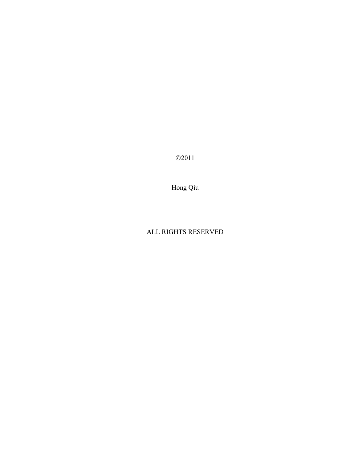©2011

Hong Qiu

# ALL RIGHTS RESERVED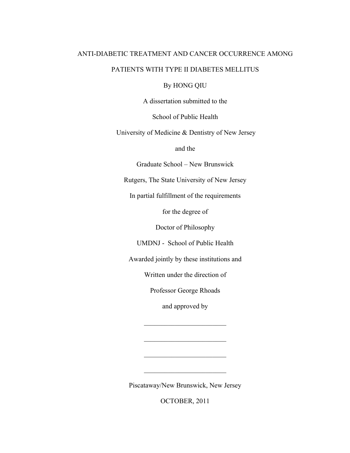# ANTI-DIABETIC TREATMENT AND CANCER OCCURRENCE AMONG PATIENTS WITH TYPE II DIABETES MELLITUS

By HONG QIU

A dissertation submitted to the

School of Public Health

University of Medicine & Dentistry of New Jersey

and the

Graduate School – New Brunswick

Rutgers, The State University of New Jersey

In partial fulfillment of the requirements

for the degree of

Doctor of Philosophy

UMDNJ - School of Public Health

Awarded jointly by these institutions and

Written under the direction of

Professor George Rhoads

and approved by

 $\mathcal{L}_\text{max}$  , where  $\mathcal{L}_\text{max}$  , we have the set of  $\mathcal{L}_\text{max}$ 

 $\mathcal{L}_\text{max}$  , where  $\mathcal{L}_\text{max}$  , we have the set of  $\mathcal{L}_\text{max}$ 

 $\mathcal{L}_\text{max}$  , where  $\mathcal{L}_\text{max}$  , we have the set of  $\mathcal{L}_\text{max}$ 

 $\mathcal{L}_\text{max}$  , where  $\mathcal{L}_\text{max}$  , we have the set of  $\mathcal{L}_\text{max}$ 

Piscataway/New Brunswick, New Jersey

OCTOBER, 2011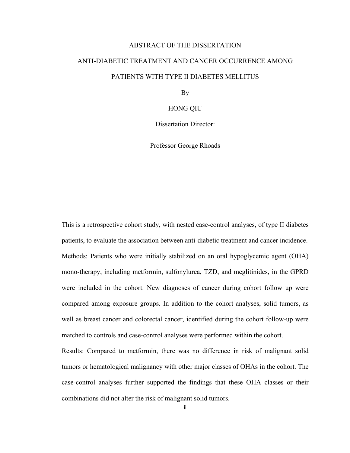# ABSTRACT OF THE DISSERTATION

# ANTI-DIABETIC TREATMENT AND CANCER OCCURRENCE AMONG PATIENTS WITH TYPE II DIABETES MELLITUS

By

# HONG QIU

Dissertation Director:

Professor George Rhoads

This is a retrospective cohort study, with nested case-control analyses, of type II diabetes patients, to evaluate the association between anti-diabetic treatment and cancer incidence. Methods: Patients who were initially stabilized on an oral hypoglycemic agent (OHA) mono-therapy, including metformin, sulfonylurea, TZD, and meglitinides, in the GPRD were included in the cohort. New diagnoses of cancer during cohort follow up were compared among exposure groups. In addition to the cohort analyses, solid tumors, as well as breast cancer and colorectal cancer, identified during the cohort follow-up were matched to controls and case-control analyses were performed within the cohort.

Results: Compared to metformin, there was no difference in risk of malignant solid tumors or hematological malignancy with other major classes of OHAs in the cohort. The case-control analyses further supported the findings that these OHA classes or their combinations did not alter the risk of malignant solid tumors.

ii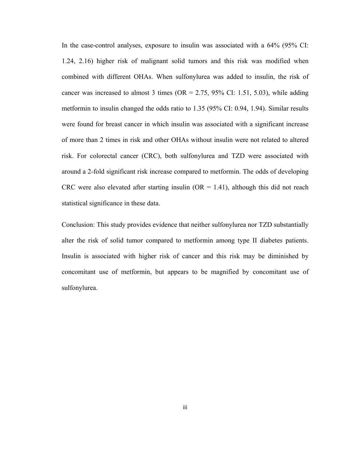In the case-control analyses, exposure to insulin was associated with a 64% (95% CI: 1.24, 2.16) higher risk of malignant solid tumors and this risk was modified when combined with different OHAs. When sulfonylurea was added to insulin, the risk of cancer was increased to almost 3 times ( $OR = 2.75$ , 95% CI: 1.51, 5.03), while adding metformin to insulin changed the odds ratio to 1.35 (95% CI: 0.94, 1.94). Similar results were found for breast cancer in which insulin was associated with a significant increase of more than 2 times in risk and other OHAs without insulin were not related to altered risk. For colorectal cancer (CRC), both sulfonylurea and TZD were associated with around a 2-fold significant risk increase compared to metformin. The odds of developing CRC were also elevated after starting insulin ( $OR = 1.41$ ), although this did not reach statistical significance in these data.

Conclusion: This study provides evidence that neither sulfonylurea nor TZD substantially alter the risk of solid tumor compared to metformin among type II diabetes patients. Insulin is associated with higher risk of cancer and this risk may be diminished by concomitant use of metformin, but appears to be magnified by concomitant use of sulfonylurea.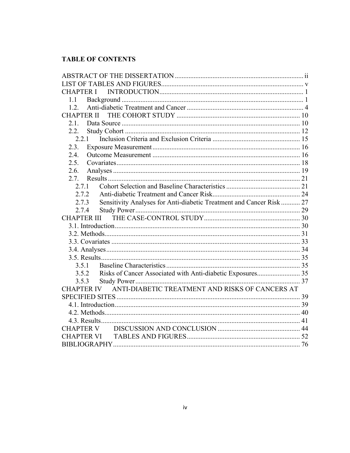# **TABLE OF CONTENTS**

| <b>CHAPTER I</b>                                                             |  |
|------------------------------------------------------------------------------|--|
| 1.1                                                                          |  |
| 1.2.                                                                         |  |
|                                                                              |  |
| 2.1.                                                                         |  |
| 2.2.                                                                         |  |
| 2.2.1                                                                        |  |
| 2.3.                                                                         |  |
| 2.4.                                                                         |  |
| 2.5.                                                                         |  |
| 2.6.                                                                         |  |
| 2.7.                                                                         |  |
| 2.7.1                                                                        |  |
| 2.7.2                                                                        |  |
| Sensitivity Analyses for Anti-diabetic Treatment and Cancer Risk 27<br>2.7.3 |  |
| 2.7.4                                                                        |  |
|                                                                              |  |
|                                                                              |  |
|                                                                              |  |
|                                                                              |  |
|                                                                              |  |
|                                                                              |  |
| 3.5.1                                                                        |  |
| Risks of Cancer Associated with Anti-diabetic Exposures 35<br>3.5.2          |  |
| 3.5.3                                                                        |  |
| ANTI-DIABETIC TREATMENT AND RISKS OF CANCERS AT<br><b>CHAPTER IV</b>         |  |
|                                                                              |  |
|                                                                              |  |
|                                                                              |  |
|                                                                              |  |
| <b>CHAPTER V</b>                                                             |  |
|                                                                              |  |
|                                                                              |  |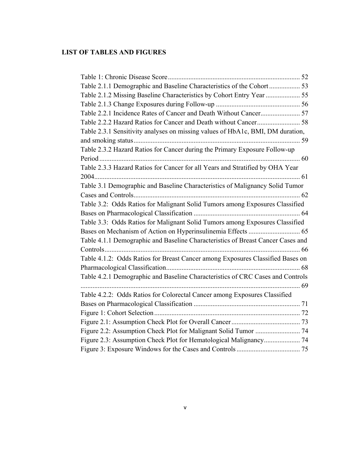# **LIST OF TABLES AND FIGURES**

| Table 2.1.2 Missing Baseline Characteristics by Cohort Entry Year  55           |  |
|---------------------------------------------------------------------------------|--|
|                                                                                 |  |
| Table 2.2.1 Incidence Rates of Cancer and Death Without Cancer 57               |  |
|                                                                                 |  |
| Table 2.3.1 Sensitivity analyses on missing values of HbA1c, BMI, DM duration,  |  |
|                                                                                 |  |
| Table 2.3.2 Hazard Ratios for Cancer during the Primary Exposure Follow-up      |  |
|                                                                                 |  |
| Table 2.3.3 Hazard Ratios for Cancer for all Years and Stratified by OHA Year   |  |
|                                                                                 |  |
| Table 3.1 Demographic and Baseline Characteristics of Malignancy Solid Tumor    |  |
|                                                                                 |  |
| Table 3.2: Odds Ratios for Malignant Solid Tumors among Exposures Classified    |  |
|                                                                                 |  |
| Table 3.3: Odds Ratios for Malignant Solid Tumors among Exposures Classified    |  |
|                                                                                 |  |
| Table 4.1.1 Demographic and Baseline Characteristics of Breast Cancer Cases and |  |
|                                                                                 |  |
| Table 4.1.2: Odds Ratios for Breast Cancer among Exposures Classified Bases on  |  |
|                                                                                 |  |
| Table 4.2.1 Demographic and Baseline Characteristics of CRC Cases and Controls  |  |
|                                                                                 |  |
| Table 4.2.2: Odds Ratios for Colorectal Cancer among Exposures Classified       |  |
|                                                                                 |  |
|                                                                                 |  |
|                                                                                 |  |
|                                                                                 |  |
|                                                                                 |  |
|                                                                                 |  |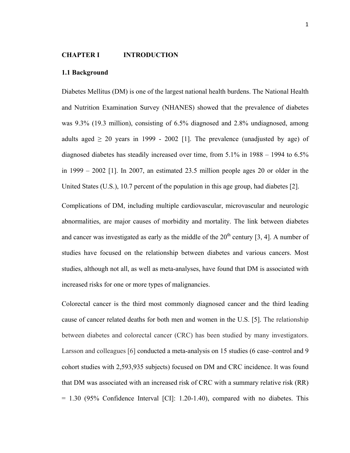## **CHAPTER I INTRODUCTION**

#### **1.1 Background**

Diabetes Mellitus (DM) is one of the largest national health burdens. The National Health and Nutrition Examination Survey (NHANES) showed that the prevalence of diabetes was 9.3% (19.3 million), consisting of 6.5% diagnosed and 2.8% undiagnosed, among adults aged  $\geq$  20 years in 1999 - 2002 [1]. The prevalence (unadjusted by age) of diagnosed diabetes has steadily increased over time, from 5.1% in 1988 – 1994 to 6.5% in 1999 – 2002 [1]. In 2007, an estimated 23.5 million people ages 20 or older in the United States (U.S.), 10.7 percent of the population in this age group, had diabetes [2].

Complications of DM, including multiple cardiovascular, microvascular and neurologic abnormalities, are major causes of morbidity and mortality. The link between diabetes and cancer was investigated as early as the middle of the  $20<sup>th</sup>$  century [3, 4]. A number of studies have focused on the relationship between diabetes and various cancers. Most studies, although not all, as well as meta-analyses, have found that DM is associated with increased risks for one or more types of malignancies.

Colorectal cancer is the third most commonly diagnosed cancer and the third leading cause of cancer related deaths for both men and women in the U.S. [5]. The relationship between diabetes and colorectal cancer (CRC) has been studied by many investigators. Larsson and colleagues [6] conducted a meta-analysis on 15 studies (6 case–control and 9 cohort studies with 2,593,935 subjects) focused on DM and CRC incidence. It was found that DM was associated with an increased risk of CRC with a summary relative risk (RR)  $= 1.30$  (95% Confidence Interval [CI]: 1.20-1.40), compared with no diabetes. This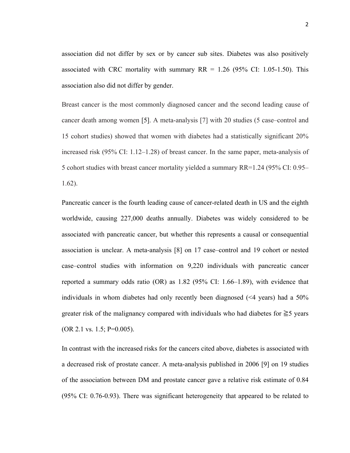association did not differ by sex or by cancer sub sites. Diabetes was also positively associated with CRC mortality with summary  $RR = 1.26$  (95% CI: 1.05-1.50). This association also did not differ by gender.

Breast cancer is the most commonly diagnosed cancer and the second leading cause of cancer death among women [5]. A meta-analysis [7] with 20 studies (5 case–control and 15 cohort studies) showed that women with diabetes had a statistically significant 20% increased risk (95% CI: 1.12–1.28) of breast cancer. In the same paper, meta-analysis of 5 cohort studies with breast cancer mortality yielded a summary RR=1.24 (95% CI: 0.95– 1.62).

Pancreatic cancer is the fourth leading cause of cancer-related death in US and the eighth worldwide, causing 227,000 deaths annually. Diabetes was widely considered to be associated with pancreatic cancer, but whether this represents a causal or consequential association is unclear. A meta-analysis [8] on 17 case–control and 19 cohort or nested case–control studies with information on 9,220 individuals with pancreatic cancer reported a summary odds ratio (OR) as 1.82 (95% CI: 1.66–1.89), with evidence that individuals in whom diabetes had only recently been diagnosed (<4 years) had a 50% greater risk of the malignancy compared with individuals who had diabetes for  $\geq 5$  years (OR 2.1 vs. 1.5; P=0.005).

In contrast with the increased risks for the cancers cited above, diabetes is associated with a decreased risk of prostate cancer. A meta-analysis published in 2006 [9] on 19 studies of the association between DM and prostate cancer gave a relative risk estimate of 0.84 (95% CI: 0.76-0.93). There was significant heterogeneity that appeared to be related to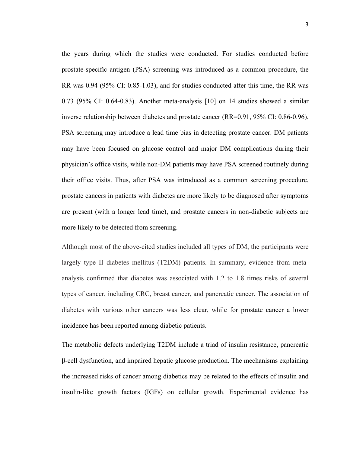the years during which the studies were conducted. For studies conducted before prostate-specific antigen (PSA) screening was introduced as a common procedure, the RR was 0.94 (95% CI: 0.85-1.03), and for studies conducted after this time, the RR was 0.73 (95% CI: 0.64-0.83). Another meta-analysis [10] on 14 studies showed a similar inverse relationship between diabetes and prostate cancer (RR=0.91, 95% CI: 0.86-0.96). PSA screening may introduce a lead time bias in detecting prostate cancer. DM patients may have been focused on glucose control and major DM complications during their physician's office visits, while non-DM patients may have PSA screened routinely during their office visits. Thus, after PSA was introduced as a common screening procedure, prostate cancers in patients with diabetes are more likely to be diagnosed after symptoms are present (with a longer lead time), and prostate cancers in non-diabetic subjects are more likely to be detected from screening.

Although most of the above-cited studies included all types of DM, the participants were largely type II diabetes mellitus (T2DM) patients. In summary, evidence from metaanalysis confirmed that diabetes was associated with 1.2 to 1.8 times risks of several types of cancer, including CRC, breast cancer, and pancreatic cancer. The association of diabetes with various other cancers was less clear, while for prostate cancer a lower incidence has been reported among diabetic patients.

The metabolic defects underlying T2DM include a triad of insulin resistance, pancreatic β-cell dysfunction, and impaired hepatic glucose production. The mechanisms explaining the increased risks of cancer among diabetics may be related to the effects of insulin and insulin-like growth factors (IGFs) on cellular growth. Experimental evidence has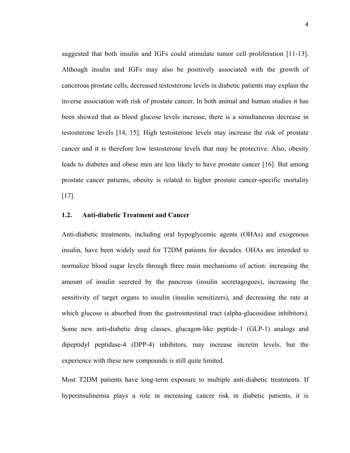suggested that both insulin and IGFs could stimulate tumor cell proliferation [11-13]. Although insulin and IGFs may also be positively associated with the growth of cancerous prostate cells, decreased testosterone levels in diabetic patients may explain the inverse association with risk of prostate cancer. In both animal and human studies it has been showed that as blood glucose levels increase, there is a simultaneous decrease in testosterone levels [14, 15]. High testosterone levels may increase the risk of prostate cancer and it is therefore low testosterone levels that may be protective. Also, obesity leads to diabetes and obese men are less likely to have prostate cancer [16]. But among prostate cancer patients, obesity is related to higher prostate cancer-specific mortality [17].

# **1.2. Anti-diabetic Treatment and Cancer**

Anti-diabetic treatments, including oral hypoglycemic agents (OHAs) and exogenous insulin, have been widely used for T2DM patients for decades. OHAs are intended to normalize blood sugar levels through three main mechanisms of action: increasing the amount of insulin secreted by the pancreas (insulin secretagogues), increasing the sensitivity of target organs to insulin (insulin sensitizers), and decreasing the rate at which glucose is absorbed from the gastrointestinal tract (alpha-glucosidase inhibitors). Some new anti-diabetic drug classes, glucagon-like peptide-1 (GLP-1) analogs and dipeptidyl peptidase-4 (DPP-4) inhibitors, may increase incretin levels, but the experience with these new compounds is still quite limited.

Most T2DM patients have long-term exposure to multiple anti-diabetic treatments. If hyperinsulinemia plays a role in increasing cancer risk in diabetic patients, it is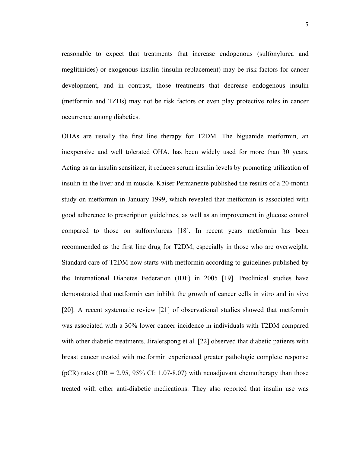reasonable to expect that treatments that increase endogenous (sulfonylurea and meglitinides) or exogenous insulin (insulin replacement) may be risk factors for cancer development, and in contrast, those treatments that decrease endogenous insulin (metformin and TZDs) may not be risk factors or even play protective roles in cancer occurrence among diabetics.

OHAs are usually the first line therapy for T2DM. The biguanide metformin, an inexpensive and well tolerated OHA, has been widely used for more than 30 years. Acting as an insulin sensitizer, it reduces serum insulin levels by promoting utilization of insulin in the liver and in muscle. Kaiser Permanente published the results of a 20-month study on metformin in January 1999, which revealed that metformin is associated with good adherence to prescription guidelines, as well as an improvement in glucose control compared to those on sulfonylureas [18]. In recent years metformin has been recommended as the first line drug for T2DM, especially in those who are overweight. Standard care of T2DM now starts with metformin according to guidelines published by the International Diabetes Federation (IDF) in 2005 [19]. Preclinical studies have demonstrated that metformin can inhibit the growth of cancer cells in vitro and in vivo [20]. A recent systematic review [21] of observational studies showed that metformin was associated with a 30% lower cancer incidence in individuals with T2DM compared with other diabetic treatments. Jiralerspong et al. [22] observed that diabetic patients with breast cancer treated with metformin experienced greater pathologic complete response (pCR) rates (OR = 2.95, 95% CI: 1.07-8.07) with neoadjuvant chemotherapy than those treated with other anti-diabetic medications. They also reported that insulin use was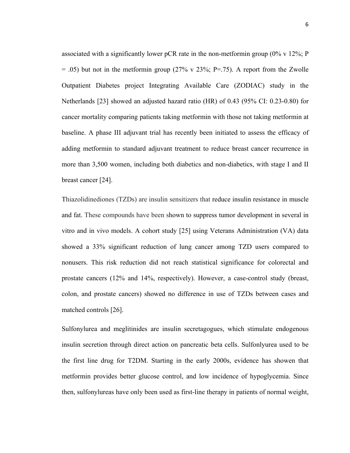associated with a significantly lower pCR rate in the non-metformin group  $(0\% \text{ v } 12\%; P)$  $= .05$ ) but not in the metformin group (27% v 23%; P=.75). A report from the Zwolle Outpatient Diabetes project Integrating Available Care (ZODIAC) study in the Netherlands [23] showed an adjusted hazard ratio (HR) of 0.43 (95% CI: 0.23-0.80) for cancer mortality comparing patients taking metformin with those not taking metformin at baseline. A phase III adjuvant trial has recently been initiated to assess the efficacy of adding metformin to standard adjuvant treatment to reduce breast cancer recurrence in more than 3,500 women, including both diabetics and non-diabetics, with stage I and II breast cancer [24].

Thiazolidinediones (TZDs) are insulin sensitizers that reduce insulin resistance in muscle and fat. These compounds have been shown to suppress tumor development in several in vitro and in vivo models. A cohort study [25] using Veterans Administration (VA) data showed a 33% significant reduction of lung cancer among TZD users compared to nonusers. This risk reduction did not reach statistical significance for colorectal and prostate cancers (12% and 14%, respectively). However, a case-control study (breast, colon, and prostate cancers) showed no difference in use of TZDs between cases and matched controls [26].

Sulfonylurea and meglitinides are insulin secretagogues, which stimulate endogenous insulin secretion through direct action on pancreatic beta cells. Sulfonlyurea used to be the first line drug for T2DM. Starting in the early 2000s, evidence has showen that metformin provides better glucose control, and low incidence of hypoglycemia. Since then, sulfonylureas have only been used as first-line therapy in patients of normal weight,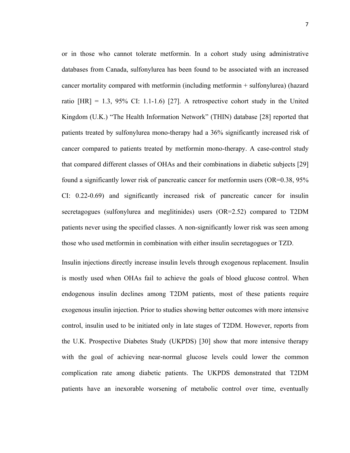or in those who cannot tolerate metformin. In a cohort study using administrative databases from Canada, sulfonylurea has been found to be associated with an increased cancer mortality compared with metformin (including metformin + sulfonylurea) (hazard ratio  $[HR] = 1.3$ , 95% CI: 1.1-1.6) [27]. A retrospective cohort study in the United Kingdom (U.K.) "The Health Information Network" (THIN) database [28] reported that patients treated by sulfonylurea mono-therapy had a 36% significantly increased risk of cancer compared to patients treated by metformin mono-therapy. A case-control study that compared different classes of OHAs and their combinations in diabetic subjects [29] found a significantly lower risk of pancreatic cancer for metformin users (OR=0.38, 95% CI: 0.22-0.69) and significantly increased risk of pancreatic cancer for insulin secretagogues (sulfonylurea and meglitinides) users (OR=2.52) compared to T2DM patients never using the specified classes. A non-significantly lower risk was seen among those who used metformin in combination with either insulin secretagogues or TZD.

Insulin injections directly increase insulin levels through exogenous replacement. Insulin is mostly used when OHAs fail to achieve the goals of blood glucose control. When endogenous insulin declines among T2DM patients, most of these patients require exogenous insulin injection. Prior to studies showing better outcomes with more intensive control, insulin used to be initiated only in late stages of T2DM. However, reports from the U.K. Prospective Diabetes Study (UKPDS) [30] show that more intensive therapy with the goal of achieving near-normal glucose levels could lower the common complication rate among diabetic patients. The UKPDS demonstrated that T2DM patients have an inexorable worsening of metabolic control over time, eventually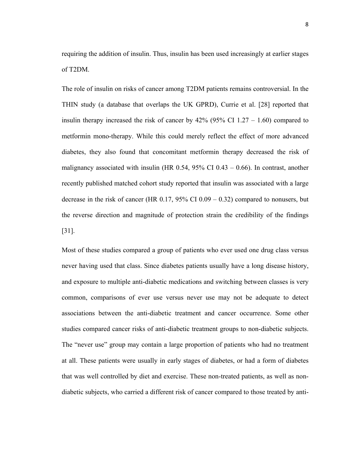requiring the addition of insulin. Thus, insulin has been used increasingly at earlier stages of T2DM.

The role of insulin on risks of cancer among T2DM patients remains controversial. In the THIN study (a database that overlaps the UK GPRD), Currie et al. [28] reported that insulin therapy increased the risk of cancer by  $42\%$  (95% CI 1.27 – 1.60) compared to metformin mono-therapy. While this could merely reflect the effect of more advanced diabetes, they also found that concomitant metformin therapy decreased the risk of malignancy associated with insulin (HR 0.54, 95% CI 0.43 – 0.66). In contrast, another recently published matched cohort study reported that insulin was associated with a large decrease in the risk of cancer (HR  $0.17$ , 95% CI  $0.09 - 0.32$ ) compared to nonusers, but the reverse direction and magnitude of protection strain the credibility of the findings [31].

Most of these studies compared a group of patients who ever used one drug class versus never having used that class. Since diabetes patients usually have a long disease history, and exposure to multiple anti-diabetic medications and switching between classes is very common, comparisons of ever use versus never use may not be adequate to detect associations between the anti-diabetic treatment and cancer occurrence. Some other studies compared cancer risks of anti-diabetic treatment groups to non-diabetic subjects. The "never use" group may contain a large proportion of patients who had no treatment at all. These patients were usually in early stages of diabetes, or had a form of diabetes that was well controlled by diet and exercise. These non-treated patients, as well as nondiabetic subjects, who carried a different risk of cancer compared to those treated by anti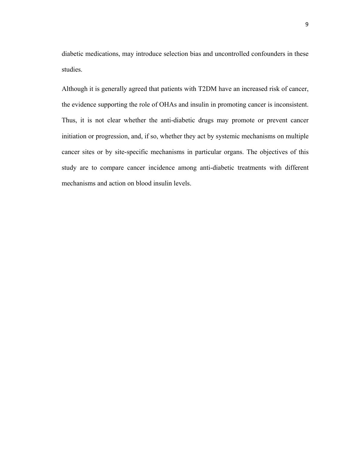diabetic medications, may introduce selection bias and uncontrolled confounders in these studies.

Although it is generally agreed that patients with T2DM have an increased risk of cancer, the evidence supporting the role of OHAs and insulin in promoting cancer is inconsistent. Thus, it is not clear whether the anti-diabetic drugs may promote or prevent cancer initiation or progression, and, if so, whether they act by systemic mechanisms on multiple cancer sites or by site-specific mechanisms in particular organs. The objectives of this study are to compare cancer incidence among anti-diabetic treatments with different mechanisms and action on blood insulin levels.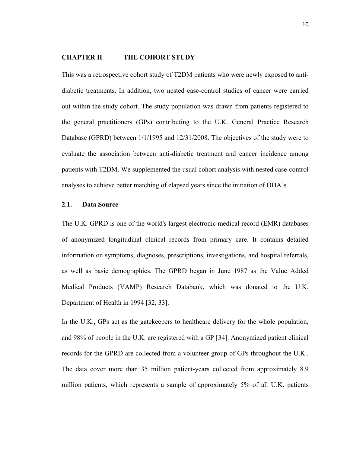#### **CHAPTER II THE COHORT STUDY**

This was a retrospective cohort study of T2DM patients who were newly exposed to antidiabetic treatments. In addition, two nested case-control studies of cancer were carried out within the study cohort. The study population was drawn from patients registered to the general practitioners (GPs) contributing to the U.K. General Practice Research Database (GPRD) between 1/1/1995 and 12/31/2008. The objectives of the study were to evaluate the association between anti-diabetic treatment and cancer incidence among patients with T2DM. We supplemented the usual cohort analysis with nested case-control analyses to achieve better matching of elapsed years since the initiation of OHA's.

# **2.1. Data Source**

The U.K. GPRD is one of the world's largest electronic medical record (EMR) databases of anonymized longitudinal clinical records from primary care. It contains detailed information on symptoms, diagnoses, prescriptions, investigations, and hospital referrals, as well as basic demographics. The GPRD began in June 1987 as the Value Added Medical Products (VAMP) Research Databank, which was donated to the U.K. Department of Health in 1994 [32, 33].

In the U.K., GPs act as the gatekeepers to healthcare delivery for the whole population, and 98% of people in the U.K. are registered with a GP [34]. Anonymized patient clinical records for the GPRD are collected from a volunteer group of GPs throughout the U.K.. The data cover more than 35 million patient-years collected from approximately 8.9 million patients, which represents a sample of approximately 5% of all U.K. patients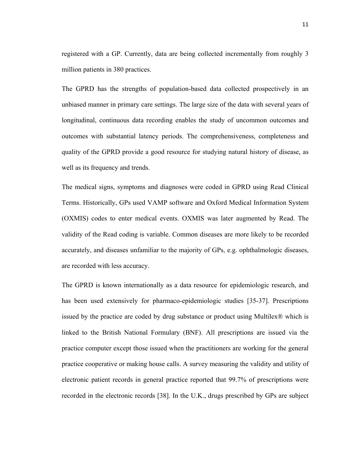registered with a GP. Currently, data are being collected incrementally from roughly 3 million patients in 380 practices.

The GPRD has the strengths of population-based data collected prospectively in an unbiased manner in primary care settings. The large size of the data with several years of longitudinal, continuous data recording enables the study of uncommon outcomes and outcomes with substantial latency periods. The comprehensiveness, completeness and quality of the GPRD provide a good resource for studying natural history of disease, as well as its frequency and trends.

The medical signs, symptoms and diagnoses were coded in GPRD using Read Clinical Terms. Historically, GPs used VAMP software and Oxford Medical Information System (OXMIS) codes to enter medical events. OXMIS was later augmented by Read. The validity of the Read coding is variable. Common diseases are more likely to be recorded accurately, and diseases unfamiliar to the majority of GPs, e.g. ophthalmologic diseases, are recorded with less accuracy.

The GPRD is known internationally as a data resource for epidemiologic research, and has been used extensively for pharmaco-epidemiologic studies [35-37]. Prescriptions issued by the practice are coded by drug substance or product using Multilex® which is linked to the British National Formulary (BNF). All prescriptions are issued via the practice computer except those issued when the practitioners are working for the general practice cooperative or making house calls. A survey measuring the validity and utility of electronic patient records in general practice reported that 99.7% of prescriptions were recorded in the electronic records [38]. In the U.K., drugs prescribed by GPs are subject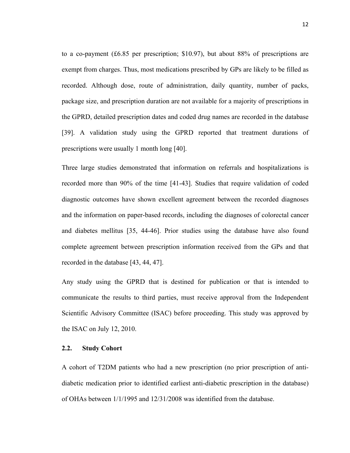to a co-payment (£6.85 per prescription; \$10.97), but about 88% of prescriptions are exempt from charges. Thus, most medications prescribed by GPs are likely to be filled as recorded. Although dose, route of administration, daily quantity, number of packs, package size, and prescription duration are not available for a majority of prescriptions in the GPRD, detailed prescription dates and coded drug names are recorded in the database [39]. A validation study using the GPRD reported that treatment durations of prescriptions were usually 1 month long [40].

Three large studies demonstrated that information on referrals and hospitalizations is recorded more than 90% of the time [41-43]. Studies that require validation of coded diagnostic outcomes have shown excellent agreement between the recorded diagnoses and the information on paper-based records, including the diagnoses of colorectal cancer and diabetes mellitus [35, 44-46]. Prior studies using the database have also found complete agreement between prescription information received from the GPs and that recorded in the database [43, 44, 47].

Any study using the GPRD that is destined for publication or that is intended to communicate the results to third parties, must receive approval from the Independent Scientific Advisory Committee (ISAC) before proceeding. This study was approved by the ISAC on July 12, 2010.

## **2.2. Study Cohort**

A cohort of T2DM patients who had a new prescription (no prior prescription of antidiabetic medication prior to identified earliest anti-diabetic prescription in the database) of OHAs between 1/1/1995 and 12/31/2008 was identified from the database.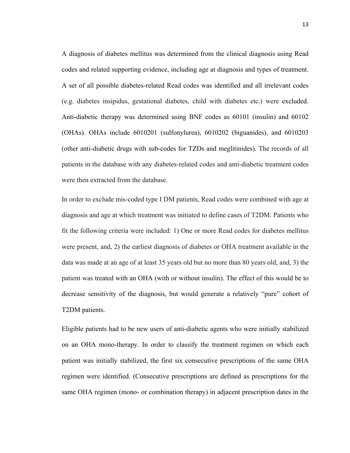A diagnosis of diabetes mellitus was determined from the clinical diagnosis using Read codes and related supporting evidence, including age at diagnosis and types of treatment. A set of all possible diabetes-related Read codes was identified and all irrelevant codes (e.g. diabetes insipidus, gestational diabetes, child with diabetes etc.) were excluded. Anti-diabetic therapy was determined using BNF codes as 60101 (insulin) and 60102 (OHAs). OHAs include 6010201 (sulfonylurea), 6010202 (biguanides), and 6010203 (other anti-diabetic drugs with sub-codes for TZDs and meglitinides). The records of all patients in the database with any diabetes-related codes and anti-diabetic treatment codes were then extracted from the database.

In order to exclude mis-coded type I DM patients, Read codes were combined with age at diagnosis and age at which treatment was initiated to define cases of T2DM. Patients who fit the following criteria were included: 1) One or more Read codes for diabetes mellitus were present, and, 2) the earliest diagnosis of diabetes or OHA treatment available in the data was made at an age of at least 35 years old but no more than 80 years old, and, 3) the patient was treated with an OHA (with or without insulin). The effect of this would be to decrease sensitivity of the diagnosis, but would generate a relatively "pure" cohort of T2DM patients.

Eligible patients had to be new users of anti-diabetic agents who were initially stabilized on an OHA mono-therapy. In order to classify the treatment regimen on which each patient was initially stabilized, the first six consecutive prescriptions of the same OHA regimen were identified. (Consecutive prescriptions are defined as prescriptions for the same OHA regimen (mono- or combination therapy) in adjacent prescription dates in the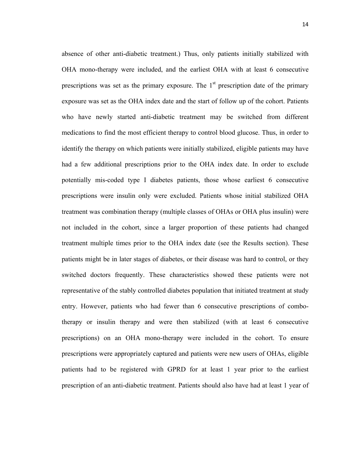absence of other anti-diabetic treatment.) Thus, only patients initially stabilized with OHA mono-therapy were included, and the earliest OHA with at least 6 consecutive prescriptions was set as the primary exposure. The  $1<sup>st</sup>$  prescription date of the primary exposure was set as the OHA index date and the start of follow up of the cohort. Patients who have newly started anti-diabetic treatment may be switched from different medications to find the most efficient therapy to control blood glucose. Thus, in order to identify the therapy on which patients were initially stabilized, eligible patients may have had a few additional prescriptions prior to the OHA index date. In order to exclude potentially mis-coded type I diabetes patients, those whose earliest 6 consecutive prescriptions were insulin only were excluded. Patients whose initial stabilized OHA treatment was combination therapy (multiple classes of OHAs or OHA plus insulin) were not included in the cohort, since a larger proportion of these patients had changed treatment multiple times prior to the OHA index date (see the Results section). These patients might be in later stages of diabetes, or their disease was hard to control, or they switched doctors frequently. These characteristics showed these patients were not representative of the stably controlled diabetes population that initiated treatment at study entry. However, patients who had fewer than 6 consecutive prescriptions of combotherapy or insulin therapy and were then stabilized (with at least 6 consecutive prescriptions) on an OHA mono-therapy were included in the cohort. To ensure prescriptions were appropriately captured and patients were new users of OHAs, eligible patients had to be registered with GPRD for at least 1 year prior to the earliest prescription of an anti-diabetic treatment. Patients should also have had at least 1 year of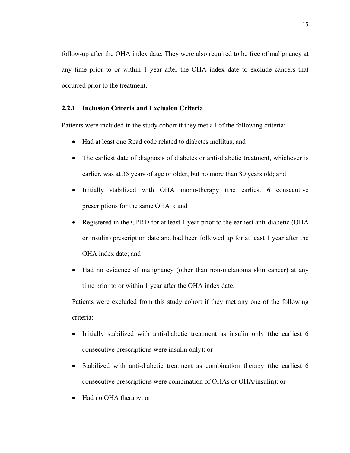follow-up after the OHA index date. They were also required to be free of malignancy at any time prior to or within 1 year after the OHA index date to exclude cancers that occurred prior to the treatment.

# **2.2.1 Inclusion Criteria and Exclusion Criteria**

Patients were included in the study cohort if they met all of the following criteria:

- Had at least one Read code related to diabetes mellitus; and
- The earliest date of diagnosis of diabetes or anti-diabetic treatment, whichever is earlier, was at 35 years of age or older, but no more than 80 years old; and
- Initially stabilized with OHA mono-therapy (the earliest 6 consecutive prescriptions for the same OHA ); and
- Registered in the GPRD for at least 1 year prior to the earliest anti-diabetic (OHA or insulin) prescription date and had been followed up for at least 1 year after the OHA index date; and
- Had no evidence of malignancy (other than non-melanoma skin cancer) at any time prior to or within 1 year after the OHA index date.

Patients were excluded from this study cohort if they met any one of the following criteria:

- Initially stabilized with anti-diabetic treatment as insulin only (the earliest 6 consecutive prescriptions were insulin only); or
- Stabilized with anti-diabetic treatment as combination therapy (the earliest 6 consecutive prescriptions were combination of OHAs or OHA/insulin); or
- Had no OHA therapy; or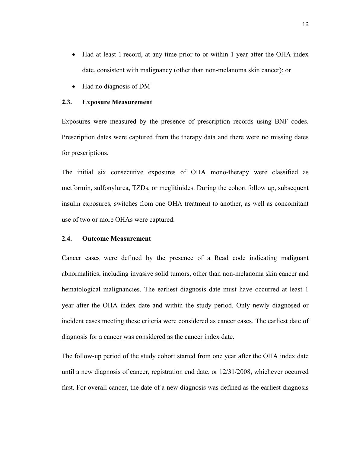- Had at least 1 record, at any time prior to or within 1 year after the OHA index date, consistent with malignancy (other than non-melanoma skin cancer); or
- Had no diagnosis of DM

# **2.3. Exposure Measurement**

Exposures were measured by the presence of prescription records using BNF codes. Prescription dates were captured from the therapy data and there were no missing dates for prescriptions.

The initial six consecutive exposures of OHA mono-therapy were classified as metformin, sulfonylurea, TZDs, or meglitinides. During the cohort follow up, subsequent insulin exposures, switches from one OHA treatment to another, as well as concomitant use of two or more OHAs were captured.

# **2.4. Outcome Measurement**

Cancer cases were defined by the presence of a Read code indicating malignant abnormalities, including invasive solid tumors, other than non-melanoma skin cancer and hematological malignancies. The earliest diagnosis date must have occurred at least 1 year after the OHA index date and within the study period. Only newly diagnosed or incident cases meeting these criteria were considered as cancer cases. The earliest date of diagnosis for a cancer was considered as the cancer index date.

The follow-up period of the study cohort started from one year after the OHA index date until a new diagnosis of cancer, registration end date, or 12/31/2008, whichever occurred first. For overall cancer, the date of a new diagnosis was defined as the earliest diagnosis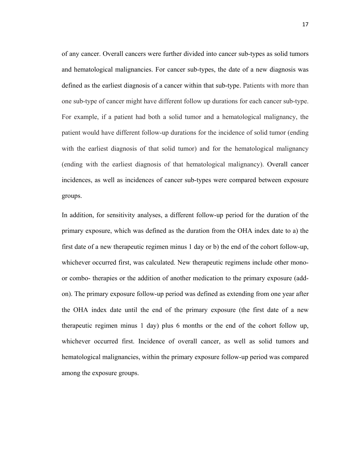of any cancer. Overall cancers were further divided into cancer sub-types as solid tumors and hematological malignancies. For cancer sub-types, the date of a new diagnosis was defined as the earliest diagnosis of a cancer within that sub-type. Patients with more than one sub-type of cancer might have different follow up durations for each cancer sub-type. For example, if a patient had both a solid tumor and a hematological malignancy, the patient would have different follow-up durations for the incidence of solid tumor (ending with the earliest diagnosis of that solid tumor) and for the hematological malignancy (ending with the earliest diagnosis of that hematological malignancy). Overall cancer incidences, as well as incidences of cancer sub-types were compared between exposure groups.

In addition, for sensitivity analyses, a different follow-up period for the duration of the primary exposure, which was defined as the duration from the OHA index date to a) the first date of a new therapeutic regimen minus 1 day or b) the end of the cohort follow-up, whichever occurred first, was calculated. New therapeutic regimens include other monoor combo- therapies or the addition of another medication to the primary exposure (addon). The primary exposure follow-up period was defined as extending from one year after the OHA index date until the end of the primary exposure (the first date of a new therapeutic regimen minus 1 day) plus 6 months or the end of the cohort follow up, whichever occurred first. Incidence of overall cancer, as well as solid tumors and hematological malignancies, within the primary exposure follow-up period was compared among the exposure groups.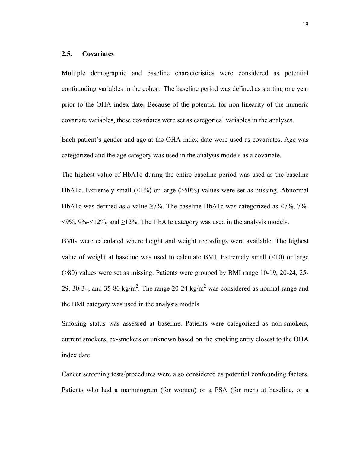# **2.5. Covariates**

Multiple demographic and baseline characteristics were considered as potential confounding variables in the cohort. The baseline period was defined as starting one year prior to the OHA index date. Because of the potential for non-linearity of the numeric covariate variables, these covariates were set as categorical variables in the analyses.

Each patient's gender and age at the OHA index date were used as covariates. Age was categorized and the age category was used in the analysis models as a covariate.

The highest value of HbA1c during the entire baseline period was used as the baseline HbA1c. Extremely small  $(\leq 1\%)$  or large ( $>50\%$ ) values were set as missing. Abnormal HbA1c was defined as a value  $\geq$ 7%. The baseline HbA1c was categorized as <7%, 7%- $\leq$ 9%, 9% $\leq$ 12%, and  $\geq$ 12%. The HbA1c category was used in the analysis models.

BMIs were calculated where height and weight recordings were available. The highest value of weight at baseline was used to calculate BMI. Extremely small (<10) or large (>80) values were set as missing. Patients were grouped by BMI range 10-19, 20-24, 25- 29, 30-34, and 35-80 kg/m<sup>2</sup>. The range 20-24 kg/m<sup>2</sup> was considered as normal range and the BMI category was used in the analysis models.

Smoking status was assessed at baseline. Patients were categorized as non-smokers, current smokers, ex-smokers or unknown based on the smoking entry closest to the OHA index date.

Cancer screening tests/procedures were also considered as potential confounding factors. Patients who had a mammogram (for women) or a PSA (for men) at baseline, or a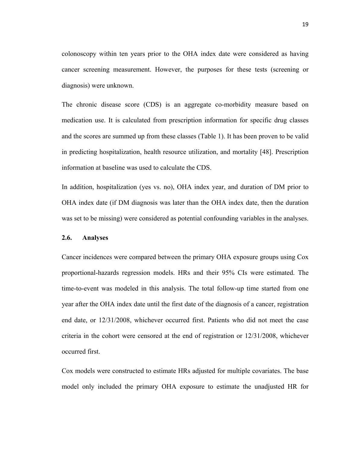colonoscopy within ten years prior to the OHA index date were considered as having cancer screening measurement. However, the purposes for these tests (screening or diagnosis) were unknown.

The chronic disease score (CDS) is an aggregate co-morbidity measure based on medication use. It is calculated from prescription information for specific drug classes and the scores are summed up from these classes (Table 1). It has been proven to be valid in predicting hospitalization, health resource utilization, and mortality [48]. Prescription information at baseline was used to calculate the CDS.

In addition, hospitalization (yes vs. no), OHA index year, and duration of DM prior to OHA index date (if DM diagnosis was later than the OHA index date, then the duration was set to be missing) were considered as potential confounding variables in the analyses.

# **2.6. Analyses**

Cancer incidences were compared between the primary OHA exposure groups using Cox proportional-hazards regression models. HRs and their 95% CIs were estimated. The time-to-event was modeled in this analysis. The total follow-up time started from one year after the OHA index date until the first date of the diagnosis of a cancer, registration end date, or 12/31/2008, whichever occurred first. Patients who did not meet the case criteria in the cohort were censored at the end of registration or 12/31/2008, whichever occurred first.

Cox models were constructed to estimate HRs adjusted for multiple covariates. The base model only included the primary OHA exposure to estimate the unadjusted HR for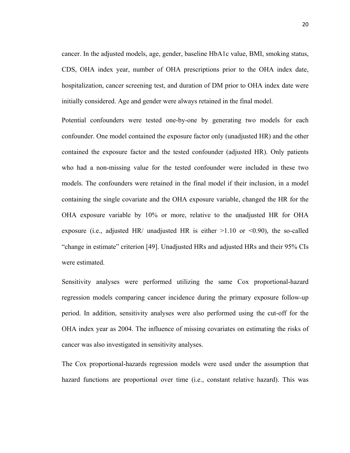cancer. In the adjusted models, age, gender, baseline HbA1c value, BMI, smoking status, CDS, OHA index year, number of OHA prescriptions prior to the OHA index date, hospitalization, cancer screening test, and duration of DM prior to OHA index date were initially considered. Age and gender were always retained in the final model.

Potential confounders were tested one-by-one by generating two models for each confounder. One model contained the exposure factor only (unadjusted HR) and the other contained the exposure factor and the tested confounder (adjusted HR). Only patients who had a non-missing value for the tested confounder were included in these two models. The confounders were retained in the final model if their inclusion, in a model containing the single covariate and the OHA exposure variable, changed the HR for the OHA exposure variable by 10% or more, relative to the unadjusted HR for OHA exposure (i.e., adjusted HR/ unadjusted HR is either  $>1.10$  or  $<0.90$ ), the so-called "change in estimate" criterion [49]. Unadjusted HRs and adjusted HRs and their 95% CIs were estimated.

Sensitivity analyses were performed utilizing the same Cox proportional-hazard regression models comparing cancer incidence during the primary exposure follow-up period. In addition, sensitivity analyses were also performed using the cut-off for the OHA index year as 2004. The influence of missing covariates on estimating the risks of cancer was also investigated in sensitivity analyses.

The Cox proportional-hazards regression models were used under the assumption that hazard functions are proportional over time (i.e., constant relative hazard). This was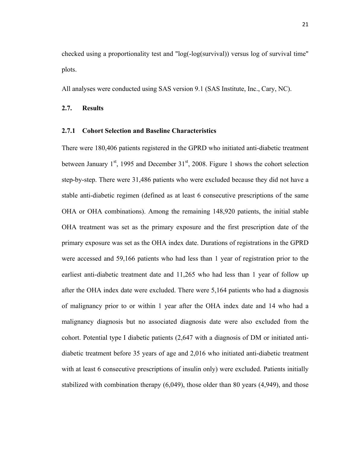checked using a proportionality test and "log(-log(survival)) versus log of survival time" plots.

All analyses were conducted using SAS version 9.1 (SAS Institute, Inc., Cary, NC).

# **2.7. Results**

# **2.7.1 Cohort Selection and Baseline Characteristics**

There were 180,406 patients registered in the GPRD who initiated anti-diabetic treatment between January  $1<sup>st</sup>$ , 1995 and December  $31<sup>st</sup>$ , 2008. Figure 1 shows the cohort selection step-by-step. There were 31,486 patients who were excluded because they did not have a stable anti-diabetic regimen (defined as at least 6 consecutive prescriptions of the same OHA or OHA combinations). Among the remaining 148,920 patients, the initial stable OHA treatment was set as the primary exposure and the first prescription date of the primary exposure was set as the OHA index date. Durations of registrations in the GPRD were accessed and 59,166 patients who had less than 1 year of registration prior to the earliest anti-diabetic treatment date and 11,265 who had less than 1 year of follow up after the OHA index date were excluded. There were 5,164 patients who had a diagnosis of malignancy prior to or within 1 year after the OHA index date and 14 who had a malignancy diagnosis but no associated diagnosis date were also excluded from the cohort. Potential type I diabetic patients (2,647 with a diagnosis of DM or initiated antidiabetic treatment before 35 years of age and 2,016 who initiated anti-diabetic treatment with at least 6 consecutive prescriptions of insulin only) were excluded. Patients initially stabilized with combination therapy (6,049), those older than 80 years (4,949), and those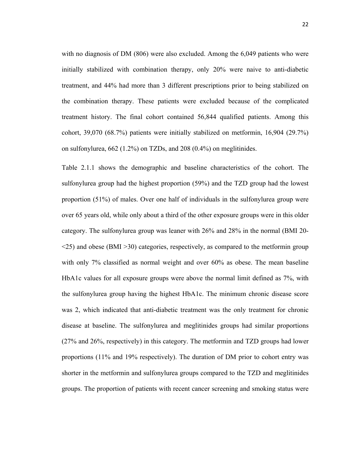with no diagnosis of DM (806) were also excluded. Among the 6,049 patients who were initially stabilized with combination therapy, only 20% were naive to anti-diabetic treatment, and 44% had more than 3 different prescriptions prior to being stabilized on the combination therapy. These patients were excluded because of the complicated treatment history. The final cohort contained 56,844 qualified patients. Among this cohort, 39,070 (68.7%) patients were initially stabilized on metformin, 16,904 (29.7%) on sulfonylurea, 662 (1.2%) on TZDs, and 208 (0.4%) on meglitinides.

Table 2.1.1 shows the demographic and baseline characteristics of the cohort. The sulfonylurea group had the highest proportion (59%) and the TZD group had the lowest proportion (51%) of males. Over one half of individuals in the sulfonylurea group were over 65 years old, while only about a third of the other exposure groups were in this older category. The sulfonylurea group was leaner with 26% and 28% in the normal (BMI 20- <25) and obese (BMI >30) categories, respectively, as compared to the metformin group with only 7% classified as normal weight and over 60% as obese. The mean baseline HbA1c values for all exposure groups were above the normal limit defined as 7%, with the sulfonylurea group having the highest HbA1c. The minimum chronic disease score was 2, which indicated that anti-diabetic treatment was the only treatment for chronic disease at baseline. The sulfonylurea and meglitinides groups had similar proportions (27% and 26%, respectively) in this category. The metformin and TZD groups had lower proportions (11% and 19% respectively). The duration of DM prior to cohort entry was shorter in the metformin and sulfonylurea groups compared to the TZD and meglitinides groups. The proportion of patients with recent cancer screening and smoking status were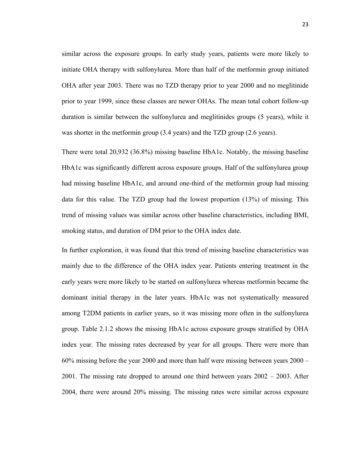similar across the exposure groups. In early study years, patients were more likely to initiate OHA therapy with sulfonylurea. More than half of the metformin group initiated OHA after year 2003. There was no TZD therapy prior to year 2000 and no meglitinide prior to year 1999, since these classes are newer OHAs. The mean total cohort follow-up duration is similar between the sulfonylurea and meglitinides groups (5 years), while it was shorter in the metformin group (3.4 years) and the TZD group (2.6 years).

There were total 20,932 (36.8%) missing baseline HbA1c. Notably, the missing baseline HbA1c was significantly different across exposure groups. Half of the sulfonylurea group had missing baseline HbA1c, and around one-third of the metformin group had missing data for this value. The TZD group had the lowest proportion (13%) of missing. This trend of missing values was similar across other baseline characteristics, including BMI, smoking status, and duration of DM prior to the OHA index date.

In further exploration, it was found that this trend of missing baseline characteristics was mainly due to the difference of the OHA index year. Patients entering treatment in the early years were more likely to be started on sulfonylurea whereas metformin became the dominant initial therapy in the later years. HbA1c was not systematically measured among T2DM patients in earlier years, so it was missing more often in the sulfonylurea group. Table 2.1.2 shows the missing HbA1c across exposure groups stratified by OHA index year. The missing rates decreased by year for all groups. There were more than 60% missing before the year 2000 and more than half were missing between years 2000 – 2001. The missing rate dropped to around one third between years 2002 – 2003. After 2004, there were around 20% missing. The missing rates were similar across exposure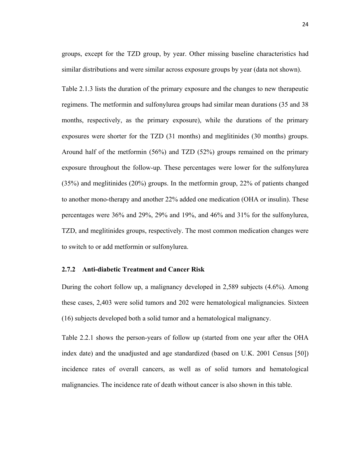groups, except for the TZD group, by year. Other missing baseline characteristics had similar distributions and were similar across exposure groups by year (data not shown).

Table 2.1.3 lists the duration of the primary exposure and the changes to new therapeutic regimens. The metformin and sulfonylurea groups had similar mean durations (35 and 38 months, respectively, as the primary exposure), while the durations of the primary exposures were shorter for the TZD (31 months) and meglitinides (30 months) groups. Around half of the metformin (56%) and TZD (52%) groups remained on the primary exposure throughout the follow-up. These percentages were lower for the sulfonylurea (35%) and meglitinides (20%) groups. In the metformin group, 22% of patients changed to another mono-therapy and another 22% added one medication (OHA or insulin). These percentages were 36% and 29%, 29% and 19%, and 46% and 31% for the sulfonylurea, TZD, and meglitinides groups, respectively. The most common medication changes were to switch to or add metformin or sulfonylurea.

# **2.7.2 Anti-diabetic Treatment and Cancer Risk**

During the cohort follow up, a malignancy developed in 2,589 subjects (4.6%). Among these cases, 2,403 were solid tumors and 202 were hematological malignancies. Sixteen (16) subjects developed both a solid tumor and a hematological malignancy.

Table 2.2.1 shows the person-years of follow up (started from one year after the OHA index date) and the unadjusted and age standardized (based on U.K. 2001 Census [50]) incidence rates of overall cancers, as well as of solid tumors and hematological malignancies. The incidence rate of death without cancer is also shown in this table.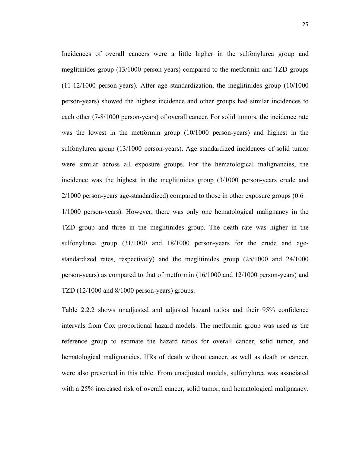Incidences of overall cancers were a little higher in the sulfonylurea group and meglitinides group (13/1000 person-years) compared to the metformin and TZD groups (11-12/1000 person-years). After age standardization, the meglitinides group (10/1000 person-years) showed the highest incidence and other groups had similar incidences to each other (7-8/1000 person-years) of overall cancer. For solid tumors, the incidence rate was the lowest in the metformin group (10/1000 person-years) and highest in the sulfonylurea group (13/1000 person-years). Age standardized incidences of solid tumor were similar across all exposure groups. For the hematological malignancies, the incidence was the highest in the meglitinides group (3/1000 person-years crude and  $2/1000$  person-years age-standardized) compared to those in other exposure groups  $(0.6 -$ 1/1000 person-years). However, there was only one hematological malignancy in the TZD group and three in the meglitinides group. The death rate was higher in the sulfonylurea group (31/1000 and 18/1000 person-years for the crude and agestandardized rates, respectively) and the meglitinides group (25/1000 and 24/1000 person-years) as compared to that of metformin (16/1000 and 12/1000 person-years) and TZD (12/1000 and 8/1000 person-years) groups.

Table 2.2.2 shows unadjusted and adjusted hazard ratios and their 95% confidence intervals from Cox proportional hazard models. The metformin group was used as the reference group to estimate the hazard ratios for overall cancer, solid tumor, and hematological malignancies. HRs of death without cancer, as well as death or cancer, were also presented in this table. From unadjusted models, sulfonylurea was associated with a 25% increased risk of overall cancer, solid tumor, and hematological malignancy.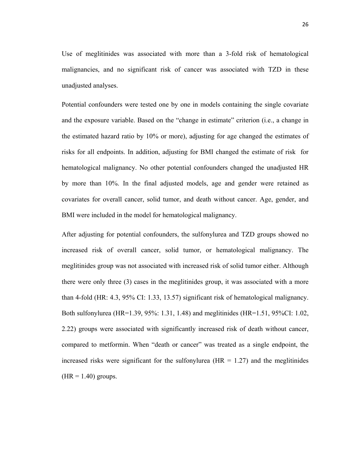Use of meglitinides was associated with more than a 3-fold risk of hematological malignancies, and no significant risk of cancer was associated with TZD in these unadjusted analyses.

Potential confounders were tested one by one in models containing the single covariate and the exposure variable. Based on the "change in estimate" criterion (i.e., a change in the estimated hazard ratio by 10% or more), adjusting for age changed the estimates of risks for all endpoints. In addition, adjusting for BMI changed the estimate of risk for hematological malignancy. No other potential confounders changed the unadjusted HR by more than 10%. In the final adjusted models, age and gender were retained as covariates for overall cancer, solid tumor, and death without cancer. Age, gender, and BMI were included in the model for hematological malignancy.

After adjusting for potential confounders, the sulfonylurea and TZD groups showed no increased risk of overall cancer, solid tumor, or hematological malignancy. The meglitinides group was not associated with increased risk of solid tumor either. Although there were only three (3) cases in the meglitinides group, it was associated with a more than 4-fold (HR: 4.3, 95% CI: 1.33, 13.57) significant risk of hematological malignancy. Both sulfonylurea (HR=1.39, 95%: 1.31, 1.48) and meglitinides (HR=1.51, 95%CI: 1.02, 2.22) groups were associated with significantly increased risk of death without cancer, compared to metformin. When "death or cancer" was treated as a single endpoint, the increased risks were significant for the sulfonylurea (HR  $= 1.27$ ) and the meglitinides  $(HR = 1.40)$  groups.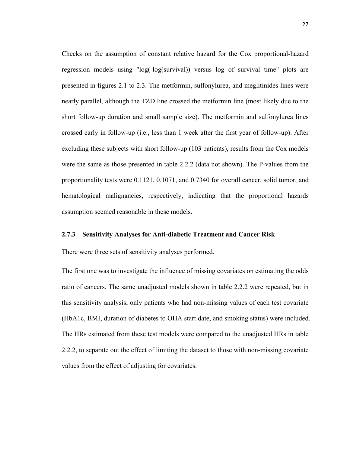Checks on the assumption of constant relative hazard for the Cox proportional-hazard regression models using "log(-log(survival)) versus log of survival time" plots are presented in figures 2.1 to 2.3. The metformin, sulfonylurea, and meglitinides lines were nearly parallel, although the TZD line crossed the metformin line (most likely due to the short follow-up duration and small sample size). The metformin and sulfonylurea lines crossed early in follow-up (i.e., less than 1 week after the first year of follow-up). After excluding these subjects with short follow-up (103 patients), results from the Cox models were the same as those presented in table 2.2.2 (data not shown). The P-values from the proportionality tests were 0.1121, 0.1071, and 0.7340 for overall cancer, solid tumor, and hematological malignancies, respectively, indicating that the proportional hazards assumption seemed reasonable in these models.

### **2.7.3 Sensitivity Analyses for Anti-diabetic Treatment and Cancer Risk**

There were three sets of sensitivity analyses performed.

The first one was to investigate the influence of missing covariates on estimating the odds ratio of cancers. The same unadjusted models shown in table 2.2.2 were repeated, but in this sensitivity analysis, only patients who had non-missing values of each test covariate (HbA1c, BMI, duration of diabetes to OHA start date, and smoking status) were included. The HRs estimated from these test models were compared to the unadjusted HRs in table 2.2.2, to separate out the effect of limiting the dataset to those with non-missing covariate values from the effect of adjusting for covariates.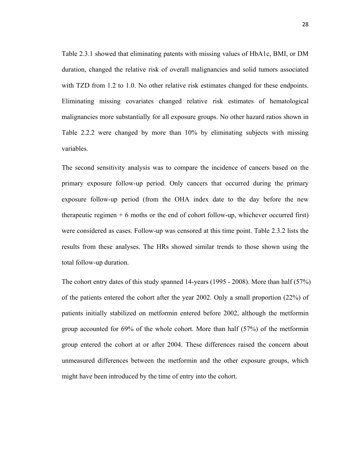Table 2.3.1 showed that eliminating patents with missing values of HbA1c, BMI, or DM duration, changed the relative risk of overall malignancies and solid tumors associated with TZD from 1.2 to 1.0. No other relative risk estimates changed for these endpoints. Eliminating missing covariates changed relative risk estimates of hematological malignancies more substantially for all exposure groups. No other hazard ratios shown in Table 2.2.2 were changed by more than 10% by eliminating subjects with missing variables.

The second sensitivity analysis was to compare the incidence of cancers based on the primary exposure follow-up period. Only cancers that occurred during the primary exposure follow-up period (from the OHA index date to the day before the new therapeutic regimen + 6 moths or the end of cohort follow-up, whichever occurred first) were considered as cases. Follow-up was censored at this time point. Table 2.3.2 lists the results from these analyses. The HRs showed similar trends to those shown using the total follow-up duration.

The cohort entry dates of this study spanned 14-years (1995 - 2008). More than half (57%) of the patients entered the cohort after the year 2002. Only a small proportion (22%) of patients initially stabilized on metformin entered before 2002, although the metformin group accounted for 69% of the whole cohort. More than half (57%) of the metformin group entered the cohort at or after 2004. These differences raised the concern about unmeasured differences between the metformin and the other exposure groups, which might have been introduced by the time of entry into the cohort.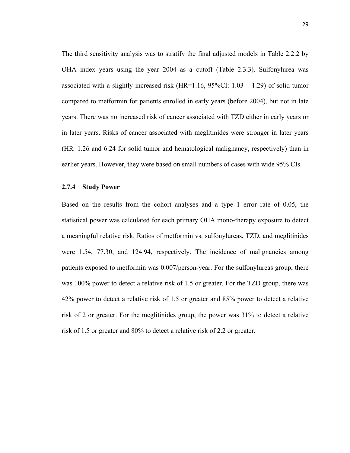The third sensitivity analysis was to stratify the final adjusted models in Table 2.2.2 by OHA index years using the year 2004 as a cutoff (Table 2.3.3). Sulfonylurea was associated with a slightly increased risk  $(HR=1.16, 95\%CI: 1.03 - 1.29)$  of solid tumor compared to metformin for patients enrolled in early years (before 2004), but not in late years. There was no increased risk of cancer associated with TZD either in early years or in later years. Risks of cancer associated with meglitinides were stronger in later years (HR=1.26 and 6.24 for solid tumor and hematological malignancy, respectively) than in earlier years. However, they were based on small numbers of cases with wide 95% CIs.

## **2.7.4 Study Power**

Based on the results from the cohort analyses and a type 1 error rate of 0.05, the statistical power was calculated for each primary OHA mono-therapy exposure to detect a meaningful relative risk. Ratios of metformin vs. sulfonylureas, TZD, and meglitinides were 1.54, 77.30, and 124.94, respectively. The incidence of malignancies among patients exposed to metformin was 0.007/person-year. For the sulfonylureas group, there was 100% power to detect a relative risk of 1.5 or greater. For the TZD group, there was 42% power to detect a relative risk of 1.5 or greater and 85% power to detect a relative risk of 2 or greater. For the meglitinides group, the power was 31% to detect a relative risk of 1.5 or greater and 80% to detect a relative risk of 2.2 or greater.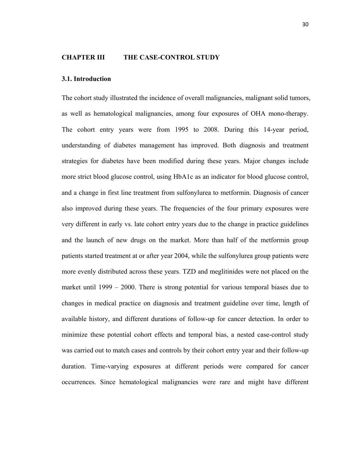#### **CHAPTER III THE CASE-CONTROL STUDY**

#### **3.1. Introduction**

The cohort study illustrated the incidence of overall malignancies, malignant solid tumors, as well as hematological malignancies, among four exposures of OHA mono-therapy. The cohort entry years were from 1995 to 2008. During this 14-year period, understanding of diabetes management has improved. Both diagnosis and treatment strategies for diabetes have been modified during these years. Major changes include more strict blood glucose control, using HbA1c as an indicator for blood glucose control, and a change in first line treatment from sulfonylurea to metformin. Diagnosis of cancer also improved during these years. The frequencies of the four primary exposures were very different in early vs. late cohort entry years due to the change in practice guidelines and the launch of new drugs on the market. More than half of the metformin group patients started treatment at or after year 2004, while the sulfonylurea group patients were more evenly distributed across these years. TZD and meglitinides were not placed on the market until 1999 – 2000. There is strong potential for various temporal biases due to changes in medical practice on diagnosis and treatment guideline over time, length of available history, and different durations of follow-up for cancer detection. In order to minimize these potential cohort effects and temporal bias, a nested case-control study was carried out to match cases and controls by their cohort entry year and their follow-up duration. Time-varying exposures at different periods were compared for cancer occurrences. Since hematological malignancies were rare and might have different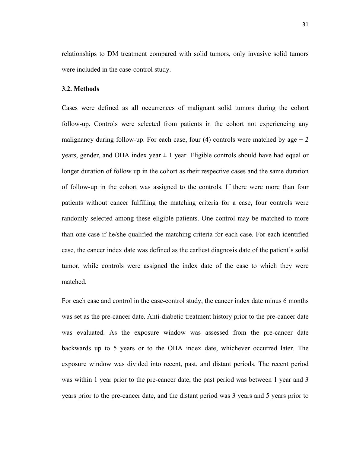relationships to DM treatment compared with solid tumors, only invasive solid tumors were included in the case-control study.

### **3.2. Methods**

Cases were defined as all occurrences of malignant solid tumors during the cohort follow-up. Controls were selected from patients in the cohort not experiencing any malignancy during follow-up. For each case, four (4) controls were matched by age  $\pm 2$ years, gender, and OHA index year  $\pm 1$  year. Eligible controls should have had equal or longer duration of follow up in the cohort as their respective cases and the same duration of follow-up in the cohort was assigned to the controls. If there were more than four patients without cancer fulfilling the matching criteria for a case, four controls were randomly selected among these eligible patients. One control may be matched to more than one case if he/she qualified the matching criteria for each case. For each identified case, the cancer index date was defined as the earliest diagnosis date of the patient's solid tumor, while controls were assigned the index date of the case to which they were matched.

For each case and control in the case-control study, the cancer index date minus 6 months was set as the pre-cancer date. Anti-diabetic treatment history prior to the pre-cancer date was evaluated. As the exposure window was assessed from the pre-cancer date backwards up to 5 years or to the OHA index date, whichever occurred later. The exposure window was divided into recent, past, and distant periods. The recent period was within 1 year prior to the pre-cancer date, the past period was between 1 year and 3 years prior to the pre-cancer date, and the distant period was 3 years and 5 years prior to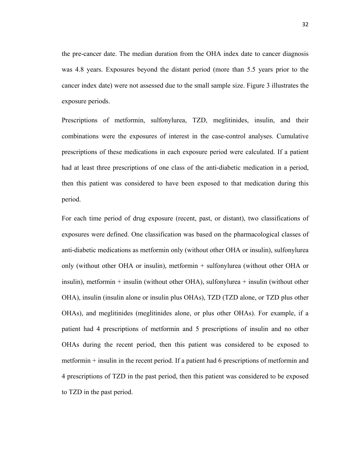the pre-cancer date. The median duration from the OHA index date to cancer diagnosis was 4.8 years. Exposures beyond the distant period (more than 5.5 years prior to the cancer index date) were not assessed due to the small sample size. Figure 3 illustrates the exposure periods.

Prescriptions of metformin, sulfonylurea, TZD, meglitinides, insulin, and their combinations were the exposures of interest in the case-control analyses. Cumulative prescriptions of these medications in each exposure period were calculated. If a patient had at least three prescriptions of one class of the anti-diabetic medication in a period, then this patient was considered to have been exposed to that medication during this period.

For each time period of drug exposure (recent, past, or distant), two classifications of exposures were defined. One classification was based on the pharmacological classes of anti-diabetic medications as metformin only (without other OHA or insulin), sulfonylurea only (without other OHA or insulin), metformin + sulfonylurea (without other OHA or insulin), metformin + insulin (without other OHA), sulfonylurea + insulin (without other OHA), insulin (insulin alone or insulin plus OHAs), TZD (TZD alone, or TZD plus other OHAs), and meglitinides (meglitinides alone, or plus other OHAs). For example, if a patient had 4 prescriptions of metformin and 5 prescriptions of insulin and no other OHAs during the recent period, then this patient was considered to be exposed to metformin + insulin in the recent period. If a patient had 6 prescriptions of metformin and 4 prescriptions of TZD in the past period, then this patient was considered to be exposed to TZD in the past period.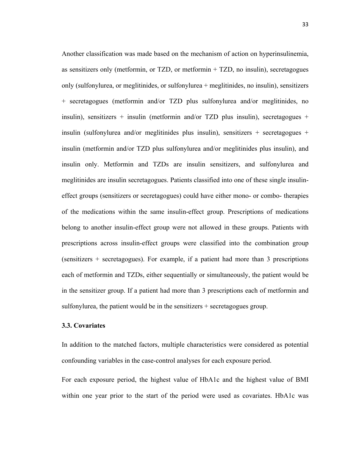Another classification was made based on the mechanism of action on hyperinsulinemia, as sensitizers only (metformin, or TZD, or metformin + TZD, no insulin), secretagogues only (sulfonylurea, or meglitinides, or sulfonylurea + meglitinides, no insulin), sensitizers + secretagogues (metformin and/or TZD plus sulfonylurea and/or meglitinides, no insulin), sensitizers + insulin (metformin and/or TZD plus insulin), secretagogues + insulin (sulfonylurea and/or meglitinides plus insulin), sensitizers  $+$  secretagogues  $+$ insulin (metformin and/or TZD plus sulfonylurea and/or meglitinides plus insulin), and insulin only. Metformin and TZDs are insulin sensitizers, and sulfonylurea and meglitinides are insulin secretagogues. Patients classified into one of these single insulineffect groups (sensitizers or secretagogues) could have either mono- or combo- therapies of the medications within the same insulin-effect group. Prescriptions of medications belong to another insulin-effect group were not allowed in these groups. Patients with prescriptions across insulin-effect groups were classified into the combination group (sensitizers + secretagogues). For example, if a patient had more than 3 prescriptions each of metformin and TZDs, either sequentially or simultaneously, the patient would be in the sensitizer group. If a patient had more than 3 prescriptions each of metformin and sulfonylurea, the patient would be in the sensitizers + secretagogues group.

### **3.3. Covariates**

In addition to the matched factors, multiple characteristics were considered as potential confounding variables in the case-control analyses for each exposure period.

For each exposure period, the highest value of HbA1c and the highest value of BMI within one year prior to the start of the period were used as covariates. HbA1c was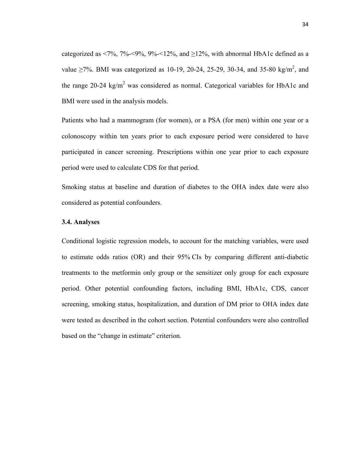categorized as <7%, 7%-<9%, 9%-<12%, and  $\geq$ 12%, with abnormal HbA1c defined as a value  $\geq$ 7%. BMI was categorized as 10-19, 20-24, 25-29, 30-34, and 35-80 kg/m<sup>2</sup>, and the range 20-24 kg/m<sup>2</sup> was considered as normal. Categorical variables for HbA1c and BMI were used in the analysis models.

Patients who had a mammogram (for women), or a PSA (for men) within one year or a colonoscopy within ten years prior to each exposure period were considered to have participated in cancer screening. Prescriptions within one year prior to each exposure period were used to calculate CDS for that period.

Smoking status at baseline and duration of diabetes to the OHA index date were also considered as potential confounders.

### **3.4. Analyses**

Conditional logistic regression models, to account for the matching variables, were used to estimate odds ratios (OR) and their 95% CIs by comparing different anti-diabetic treatments to the metformin only group or the sensitizer only group for each exposure period. Other potential confounding factors, including BMI, HbA1c, CDS, cancer screening, smoking status, hospitalization, and duration of DM prior to OHA index date were tested as described in the cohort section. Potential confounders were also controlled based on the "change in estimate" criterion.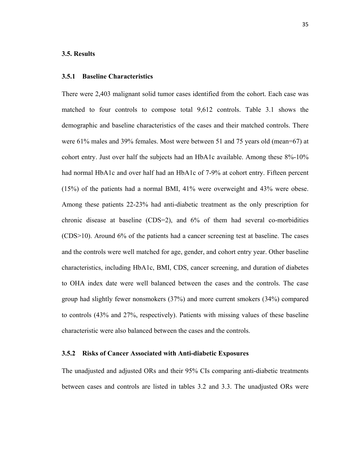### **3.5. Results**

### **3.5.1 Baseline Characteristics**

There were 2,403 malignant solid tumor cases identified from the cohort. Each case was matched to four controls to compose total 9,612 controls. Table 3.1 shows the demographic and baseline characteristics of the cases and their matched controls. There were 61% males and 39% females. Most were between 51 and 75 years old (mean=67) at cohort entry. Just over half the subjects had an HbA1c available. Among these 8%-10% had normal HbA1c and over half had an HbA1c of 7-9% at cohort entry. Fifteen percent (15%) of the patients had a normal BMI, 41% were overweight and 43% were obese. Among these patients 22-23% had anti-diabetic treatment as the only prescription for chronic disease at baseline (CDS=2), and 6% of them had several co-morbidities (CDS>10). Around 6% of the patients had a cancer screening test at baseline. The cases and the controls were well matched for age, gender, and cohort entry year. Other baseline characteristics, including HbA1c, BMI, CDS, cancer screening, and duration of diabetes to OHA index date were well balanced between the cases and the controls. The case group had slightly fewer nonsmokers (37%) and more current smokers (34%) compared to controls (43% and 27%, respectively). Patients with missing values of these baseline characteristic were also balanced between the cases and the controls.

### **3.5.2 Risks of Cancer Associated with Anti-diabetic Exposures**

The unadjusted and adjusted ORs and their 95% CIs comparing anti-diabetic treatments between cases and controls are listed in tables 3.2 and 3.3. The unadjusted ORs were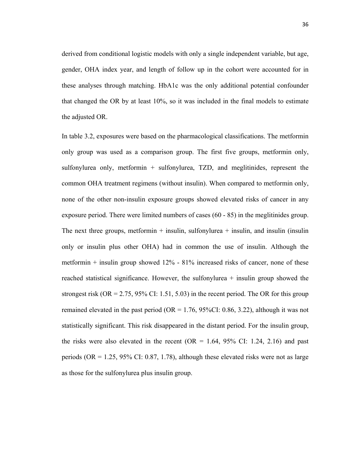derived from conditional logistic models with only a single independent variable, but age, gender, OHA index year, and length of follow up in the cohort were accounted for in these analyses through matching. HbA1c was the only additional potential confounder that changed the OR by at least 10%, so it was included in the final models to estimate the adjusted OR.

In table 3.2, exposures were based on the pharmacological classifications. The metformin only group was used as a comparison group. The first five groups, metformin only, sulfonylurea only, metformin + sulfonylurea, TZD, and meglitinides, represent the common OHA treatment regimens (without insulin). When compared to metformin only, none of the other non-insulin exposure groups showed elevated risks of cancer in any exposure period. There were limited numbers of cases (60 - 85) in the meglitinides group. The next three groups, metformin  $+$  insulin, sulfonylurea  $+$  insulin, and insulin (insulin only or insulin plus other OHA) had in common the use of insulin. Although the metformin  $+$  insulin group showed 12%  $-81\%$  increased risks of cancer, none of these reached statistical significance. However, the sulfonylurea + insulin group showed the strongest risk (OR = 2.75, 95% CI: 1.51, 5.03) in the recent period. The OR for this group remained elevated in the past period (OR =  $1.76$ , 95%CI: 0.86, 3.22), although it was not statistically significant. This risk disappeared in the distant period. For the insulin group, the risks were also elevated in the recent (OR =  $1.64$ ,  $95\%$  CI:  $1.24$ ,  $2.16$ ) and past periods (OR =  $1.25$ , 95% CI: 0.87, 1.78), although these elevated risks were not as large as those for the sulfonylurea plus insulin group.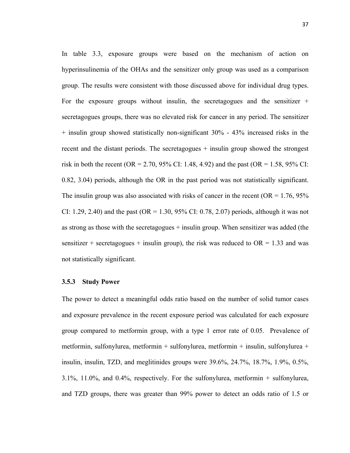In table 3.3, exposure groups were based on the mechanism of action on hyperinsulinemia of the OHAs and the sensitizer only group was used as a comparison group. The results were consistent with those discussed above for individual drug types. For the exposure groups without insulin, the secretagogues and the sensitizer  $+$ secretagogues groups, there was no elevated risk for cancer in any period. The sensitizer  $+$  insulin group showed statistically non-significant 30% - 43% increased risks in the recent and the distant periods. The secretagogues + insulin group showed the strongest risk in both the recent (OR = 2.70, 95% CI: 1.48, 4.92) and the past (OR = 1.58, 95% CI: 0.82, 3.04) periods, although the OR in the past period was not statistically significant. The insulin group was also associated with risks of cancer in the recent ( $OR = 1.76$ ,  $95\%$ ) CI: 1.29, 2.40) and the past (OR = 1.30, 95% CI: 0.78, 2.07) periods, although it was not as strong as those with the secretagogues + insulin group. When sensitizer was added (the sensitizer + secretagogues + insulin group), the risk was reduced to  $OR = 1.33$  and was not statistically significant.

### **3.5.3 Study Power**

The power to detect a meaningful odds ratio based on the number of solid tumor cases and exposure prevalence in the recent exposure period was calculated for each exposure group compared to metformin group, with a type 1 error rate of 0.05. Prevalence of metformin, sulfonylurea, metformin + sulfonylurea, metformin + insulin, sulfonylurea + insulin, insulin, TZD, and meglitinides groups were 39.6%, 24.7%, 18.7%, 1.9%, 0.5%, 3.1%, 11.0%, and 0.4%, respectively. For the sulfonylurea, metformin + sulfonylurea, and TZD groups, there was greater than 99% power to detect an odds ratio of 1.5 or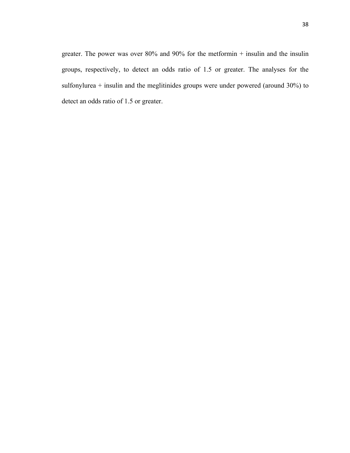greater. The power was over 80% and 90% for the metformin + insulin and the insulin groups, respectively, to detect an odds ratio of 1.5 or greater. The analyses for the sulfonylurea + insulin and the meglitinides groups were under powered (around 30%) to detect an odds ratio of 1.5 or greater.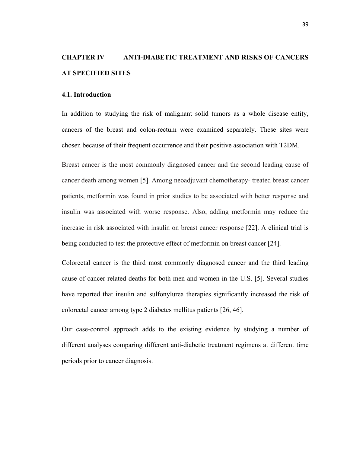# **CHAPTER IV ANTI-DIABETIC TREATMENT AND RISKS OF CANCERS AT SPECIFIED SITES**

### **4.1. Introduction**

In addition to studying the risk of malignant solid tumors as a whole disease entity, cancers of the breast and colon-rectum were examined separately. These sites were chosen because of their frequent occurrence and their positive association with T2DM.

Breast cancer is the most commonly diagnosed cancer and the second leading cause of cancer death among women [5]. Among neoadjuvant chemotherapy- treated breast cancer patients, metformin was found in prior studies to be associated with better response and insulin was associated with worse response. Also, adding metformin may reduce the increase in risk associated with insulin on breast cancer response [22]. A clinical trial is being conducted to test the protective effect of metformin on breast cancer [24].

Colorectal cancer is the third most commonly diagnosed cancer and the third leading cause of cancer related deaths for both men and women in the U.S. [5]. Several studies have reported that insulin and sulfonylurea therapies significantly increased the risk of colorectal cancer among type 2 diabetes mellitus patients [26, 46].

Our case-control approach adds to the existing evidence by studying a number of different analyses comparing different anti-diabetic treatment regimens at different time periods prior to cancer diagnosis.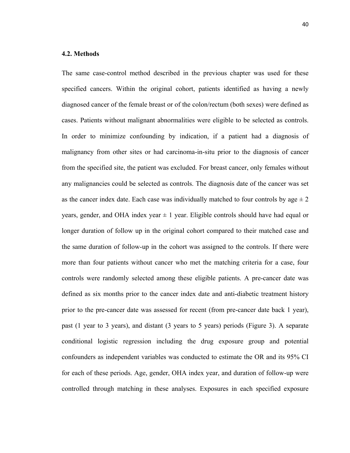### **4.2. Methods**

The same case-control method described in the previous chapter was used for these specified cancers. Within the original cohort, patients identified as having a newly diagnosed cancer of the female breast or of the colon/rectum (both sexes) were defined as cases. Patients without malignant abnormalities were eligible to be selected as controls. In order to minimize confounding by indication, if a patient had a diagnosis of malignancy from other sites or had carcinoma-in-situ prior to the diagnosis of cancer from the specified site, the patient was excluded. For breast cancer, only females without any malignancies could be selected as controls. The diagnosis date of the cancer was set as the cancer index date. Each case was individually matched to four controls by age  $\pm 2$ years, gender, and OHA index year  $\pm 1$  year. Eligible controls should have had equal or longer duration of follow up in the original cohort compared to their matched case and the same duration of follow-up in the cohort was assigned to the controls. If there were more than four patients without cancer who met the matching criteria for a case, four controls were randomly selected among these eligible patients. A pre-cancer date was defined as six months prior to the cancer index date and anti-diabetic treatment history prior to the pre-cancer date was assessed for recent (from pre-cancer date back 1 year), past (1 year to 3 years), and distant (3 years to 5 years) periods (Figure 3). A separate conditional logistic regression including the drug exposure group and potential confounders as independent variables was conducted to estimate the OR and its 95% CI for each of these periods. Age, gender, OHA index year, and duration of follow-up were controlled through matching in these analyses. Exposures in each specified exposure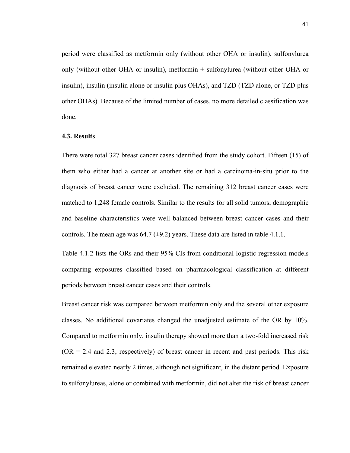period were classified as metformin only (without other OHA or insulin), sulfonylurea only (without other OHA or insulin), metformin + sulfonylurea (without other OHA or insulin), insulin (insulin alone or insulin plus OHAs), and TZD (TZD alone, or TZD plus other OHAs). Because of the limited number of cases, no more detailed classification was done.

### **4.3. Results**

There were total 327 breast cancer cases identified from the study cohort. Fifteen (15) of them who either had a cancer at another site or had a carcinoma-in-situ prior to the diagnosis of breast cancer were excluded. The remaining 312 breast cancer cases were matched to 1,248 female controls. Similar to the results for all solid tumors, demographic and baseline characteristics were well balanced between breast cancer cases and their controls. The mean age was  $64.7 \ (\pm 9.2)$  years. These data are listed in table 4.1.1.

Table 4.1.2 lists the ORs and their 95% CIs from conditional logistic regression models comparing exposures classified based on pharmacological classification at different periods between breast cancer cases and their controls.

Breast cancer risk was compared between metformin only and the several other exposure classes. No additional covariates changed the unadjusted estimate of the OR by 10%. Compared to metformin only, insulin therapy showed more than a two-fold increased risk  $(OR = 2.4$  and 2.3, respectively) of breast cancer in recent and past periods. This risk remained elevated nearly 2 times, although not significant, in the distant period. Exposure to sulfonylureas, alone or combined with metformin, did not alter the risk of breast cancer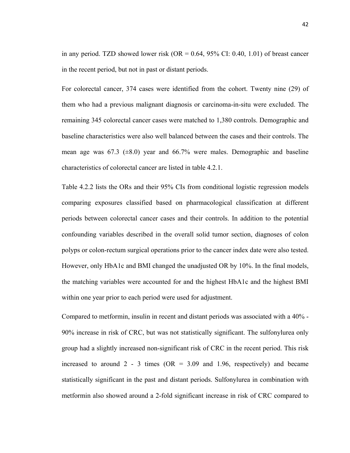in any period. TZD showed lower risk  $(OR = 0.64, 95\% \text{ CI: } 0.40, 1.01)$  of breast cancer in the recent period, but not in past or distant periods.

For colorectal cancer, 374 cases were identified from the cohort. Twenty nine (29) of them who had a previous malignant diagnosis or carcinoma-in-situ were excluded. The remaining 345 colorectal cancer cases were matched to 1,380 controls. Demographic and baseline characteristics were also well balanced between the cases and their controls. The mean age was  $67.3$  ( $\pm 8.0$ ) year and  $66.7\%$  were males. Demographic and baseline characteristics of colorectal cancer are listed in table 4.2.1.

Table 4.2.2 lists the ORs and their 95% CIs from conditional logistic regression models comparing exposures classified based on pharmacological classification at different periods between colorectal cancer cases and their controls. In addition to the potential confounding variables described in the overall solid tumor section, diagnoses of colon polyps or colon-rectum surgical operations prior to the cancer index date were also tested. However, only HbA1c and BMI changed the unadjusted OR by 10%. In the final models, the matching variables were accounted for and the highest HbA1c and the highest BMI within one year prior to each period were used for adjustment.

Compared to metformin, insulin in recent and distant periods was associated with a 40% - 90% increase in risk of CRC, but was not statistically significant. The sulfonylurea only group had a slightly increased non-significant risk of CRC in the recent period. This risk increased to around 2 - 3 times ( $OR = 3.09$  and 1.96, respectively) and became statistically significant in the past and distant periods. Sulfonylurea in combination with metformin also showed around a 2-fold significant increase in risk of CRC compared to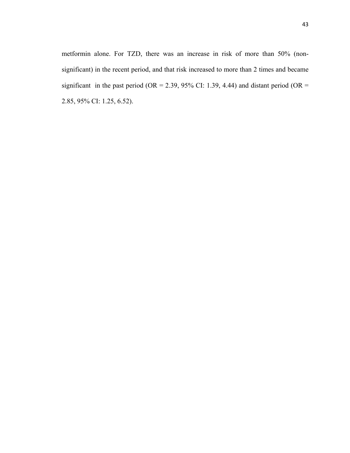metformin alone. For TZD, there was an increase in risk of more than 50% (nonsignificant) in the recent period, and that risk increased to more than 2 times and became significant in the past period (OR = 2.39, 95% CI: 1.39, 4.44) and distant period (OR = 2.85, 95% CI: 1.25, 6.52).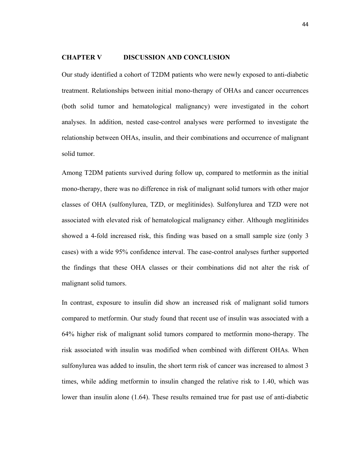### **CHAPTER V DISCUSSION AND CONCLUSION**

Our study identified a cohort of T2DM patients who were newly exposed to anti-diabetic treatment. Relationships between initial mono-therapy of OHAs and cancer occurrences (both solid tumor and hematological malignancy) were investigated in the cohort analyses. In addition, nested case-control analyses were performed to investigate the relationship between OHAs, insulin, and their combinations and occurrence of malignant solid tumor.

Among T2DM patients survived during follow up, compared to metformin as the initial mono-therapy, there was no difference in risk of malignant solid tumors with other major classes of OHA (sulfonylurea, TZD, or meglitinides). Sulfonylurea and TZD were not associated with elevated risk of hematological malignancy either. Although meglitinides showed a 4-fold increased risk, this finding was based on a small sample size (only 3 cases) with a wide 95% confidence interval. The case-control analyses further supported the findings that these OHA classes or their combinations did not alter the risk of malignant solid tumors.

In contrast, exposure to insulin did show an increased risk of malignant solid tumors compared to metformin. Our study found that recent use of insulin was associated with a 64% higher risk of malignant solid tumors compared to metformin mono-therapy. The risk associated with insulin was modified when combined with different OHAs. When sulfonylurea was added to insulin, the short term risk of cancer was increased to almost 3 times, while adding metformin to insulin changed the relative risk to 1.40, which was lower than insulin alone (1.64). These results remained true for past use of anti-diabetic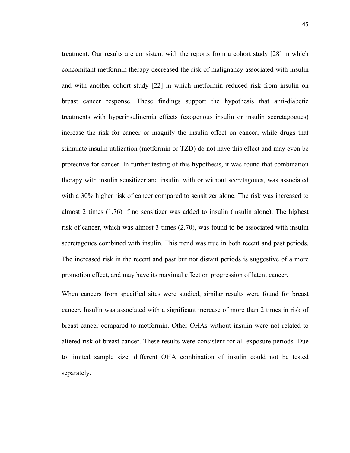treatment. Our results are consistent with the reports from a cohort study [28] in which concomitant metformin therapy decreased the risk of malignancy associated with insulin and with another cohort study [22] in which metformin reduced risk from insulin on breast cancer response. These findings support the hypothesis that anti-diabetic treatments with hyperinsulinemia effects (exogenous insulin or insulin secretagogues) increase the risk for cancer or magnify the insulin effect on cancer; while drugs that stimulate insulin utilization (metformin or TZD) do not have this effect and may even be protective for cancer. In further testing of this hypothesis, it was found that combination therapy with insulin sensitizer and insulin, with or without secretagoues, was associated with a 30% higher risk of cancer compared to sensitizer alone. The risk was increased to almost 2 times (1.76) if no sensitizer was added to insulin (insulin alone). The highest risk of cancer, which was almost 3 times (2.70), was found to be associated with insulin secretagoues combined with insulin. This trend was true in both recent and past periods. The increased risk in the recent and past but not distant periods is suggestive of a more promotion effect, and may have its maximal effect on progression of latent cancer.

When cancers from specified sites were studied, similar results were found for breast cancer. Insulin was associated with a significant increase of more than 2 times in risk of breast cancer compared to metformin. Other OHAs without insulin were not related to altered risk of breast cancer. These results were consistent for all exposure periods. Due to limited sample size, different OHA combination of insulin could not be tested separately.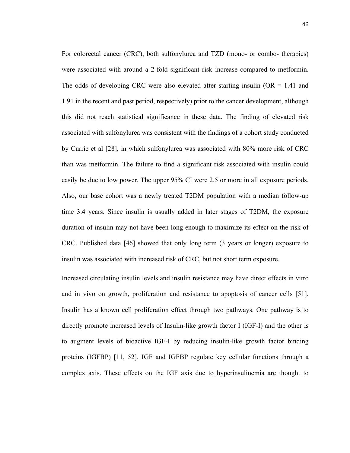For colorectal cancer (CRC), both sulfonylurea and TZD (mono- or combo- therapies) were associated with around a 2-fold significant risk increase compared to metformin. The odds of developing CRC were also elevated after starting insulin ( $OR = 1.41$  and 1.91 in the recent and past period, respectively) prior to the cancer development, although this did not reach statistical significance in these data. The finding of elevated risk associated with sulfonylurea was consistent with the findings of a cohort study conducted by Currie et al [28], in which sulfonylurea was associated with 80% more risk of CRC than was metformin. The failure to find a significant risk associated with insulin could easily be due to low power. The upper 95% CI were 2.5 or more in all exposure periods. Also, our base cohort was a newly treated T2DM population with a median follow-up time 3.4 years. Since insulin is usually added in later stages of T2DM, the exposure duration of insulin may not have been long enough to maximize its effect on the risk of CRC. Published data [46] showed that only long term (3 years or longer) exposure to insulin was associated with increased risk of CRC, but not short term exposure.

Increased circulating insulin levels and insulin resistance may have direct effects in vitro and in vivo on growth, proliferation and resistance to apoptosis of cancer cells [51]. Insulin has a known cell proliferation effect through two pathways. One pathway is to directly promote increased levels of Insulin-like growth factor I (IGF-I) and the other is to augment levels of bioactive IGF-I by reducing insulin-like growth factor binding proteins (IGFBP) [11, 52]. IGF and IGFBP regulate key cellular functions through a complex axis. These effects on the IGF axis due to hyperinsulinemia are thought to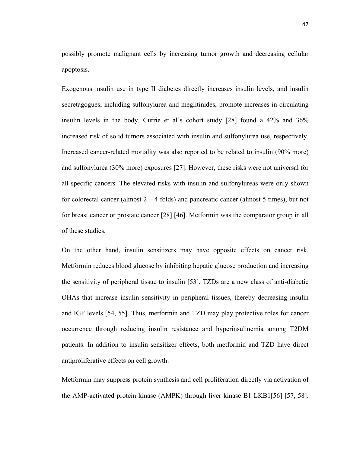possibly promote malignant cells by increasing tumor growth and decreasing cellular apoptosis.

Exogenous insulin use in type II diabetes directly increases insulin levels, and insulin secretagogues, including sulfonylurea and meglitinides, promote increases in circulating insulin levels in the body. Currie et al's cohort study [28] found a 42% and 36% increased risk of solid tumors associated with insulin and sulfonylurea use, respectively. Increased cancer-related mortality was also reported to be related to insulin (90% more) and sulfonylurea (30% more) exposures [27]. However, these risks were not universal for all specific cancers. The elevated risks with insulin and sulfonylureas were only shown for colorectal cancer (almost  $2 - 4$  folds) and pancreatic cancer (almost 5 times), but not for breast cancer or prostate cancer [28] [46]. Metformin was the comparator group in all of these studies.

On the other hand, insulin sensitizers may have opposite effects on cancer risk. Metformin reduces blood glucose by inhibiting hepatic glucose production and increasing the sensitivity of peripheral tissue to insulin [53]. TZDs are a new class of anti-diabetic OHAs that increase insulin sensitivity in peripheral tissues, thereby decreasing insulin and IGF levels [54, 55]. Thus, metformin and TZD may play protective roles for cancer occurrence through reducing insulin resistance and hyperinsulinemia among T2DM patients. In addition to insulin sensitizer effects, both metformin and TZD have direct antiproliferative effects on cell growth.

Metformin may suppress protein synthesis and cell proliferation directly via activation of the AMP-activated protein kinase (AMPK) through liver kinase B1 LKB1[56] [57, 58].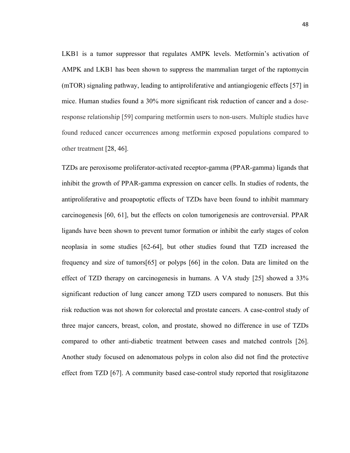LKB1 is a tumor suppressor that regulates AMPK levels. Metformin's activation of AMPK and LKB1 has been shown to suppress the mammalian target of the raptomycin (mTOR) signaling pathway, leading to antiproliferative and antiangiogenic effects [57] in mice. Human studies found a 30% more significant risk reduction of cancer and a doseresponse relationship [59] comparing metformin users to non-users. Multiple studies have found reduced cancer occurrences among metformin exposed populations compared to other treatment [28, 46].

TZDs are peroxisome proliferator-activated receptor-gamma (PPAR-gamma) ligands that inhibit the growth of PPAR-gamma expression on cancer cells. In studies of rodents, the antiproliferative and proapoptotic effects of TZDs have been found to inhibit mammary carcinogenesis [60, 61], but the effects on colon tumorigenesis are controversial. PPAR ligands have been shown to prevent tumor formation or inhibit the early stages of colon neoplasia in some studies [62-64], but other studies found that TZD increased the frequency and size of tumors[65] or polyps [66] in the colon. Data are limited on the effect of TZD therapy on carcinogenesis in humans. A VA study [25] showed a 33% significant reduction of lung cancer among TZD users compared to nonusers. But this risk reduction was not shown for colorectal and prostate cancers. A case-control study of three major cancers, breast, colon, and prostate, showed no difference in use of TZDs compared to other anti-diabetic treatment between cases and matched controls [26]. Another study focused on adenomatous polyps in colon also did not find the protective effect from TZD [67]. A community based case-control study reported that rosiglitazone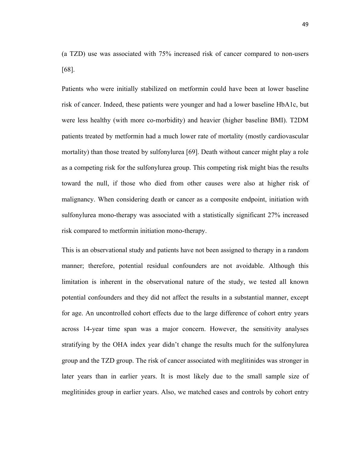(a TZD) use was associated with 75% increased risk of cancer compared to non-users [68].

Patients who were initially stabilized on metformin could have been at lower baseline risk of cancer. Indeed, these patients were younger and had a lower baseline HbA1c, but were less healthy (with more co-morbidity) and heavier (higher baseline BMI). T2DM patients treated by metformin had a much lower rate of mortality (mostly cardiovascular mortality) than those treated by sulfonylurea [69]. Death without cancer might play a role as a competing risk for the sulfonylurea group. This competing risk might bias the results toward the null, if those who died from other causes were also at higher risk of malignancy. When considering death or cancer as a composite endpoint, initiation with sulfonylurea mono-therapy was associated with a statistically significant 27% increased risk compared to metformin initiation mono-therapy.

This is an observational study and patients have not been assigned to therapy in a random manner; therefore, potential residual confounders are not avoidable. Although this limitation is inherent in the observational nature of the study, we tested all known potential confounders and they did not affect the results in a substantial manner, except for age. An uncontrolled cohort effects due to the large difference of cohort entry years across 14-year time span was a major concern. However, the sensitivity analyses stratifying by the OHA index year didn't change the results much for the sulfonylurea group and the TZD group. The risk of cancer associated with meglitinides was stronger in later years than in earlier years. It is most likely due to the small sample size of meglitinides group in earlier years. Also, we matched cases and controls by cohort entry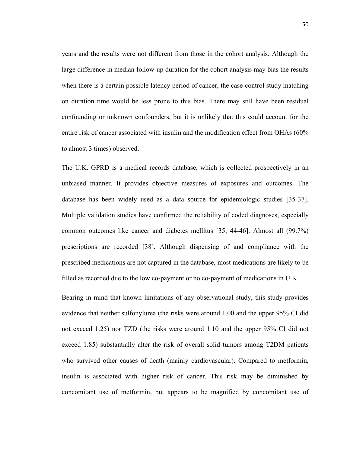years and the results were not different from those in the cohort analysis. Although the large difference in median follow-up duration for the cohort analysis may bias the results when there is a certain possible latency period of cancer, the case-control study matching on duration time would be less prone to this bias. There may still have been residual confounding or unknown confounders, but it is unlikely that this could account for the entire risk of cancer associated with insulin and the modification effect from OHAs (60% to almost 3 times) observed.

The U.K. GPRD is a medical records database, which is collected prospectively in an unbiased manner. It provides objective measures of exposures and outcomes. The database has been widely used as a data source for epidemiologic studies [35-37]. Multiple validation studies have confirmed the reliability of coded diagnoses, especially common outcomes like cancer and diabetes mellitus [35, 44-46]. Almost all (99.7%) prescriptions are recorded [38]. Although dispensing of and compliance with the prescribed medications are not captured in the database, most medications are likely to be filled as recorded due to the low co-payment or no co-payment of medications in U.K.

Bearing in mind that known limitations of any observational study, this study provides evidence that neither sulfonylurea (the risks were around 1.00 and the upper 95% CI did not exceed 1.25) nor TZD (the risks were around 1.10 and the upper 95% CI did not exceed 1.85) substantially alter the risk of overall solid tumors among T2DM patients who survived other causes of death (mainly cardiovascular). Compared to metformin, insulin is associated with higher risk of cancer. This risk may be diminished by concomitant use of metformin, but appears to be magnified by concomitant use of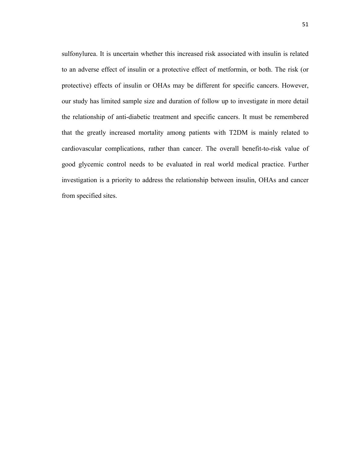sulfonylurea. It is uncertain whether this increased risk associated with insulin is related to an adverse effect of insulin or a protective effect of metformin, or both. The risk (or protective) effects of insulin or OHAs may be different for specific cancers. However, our study has limited sample size and duration of follow up to investigate in more detail the relationship of anti-diabetic treatment and specific cancers. It must be remembered that the greatly increased mortality among patients with T2DM is mainly related to cardiovascular complications, rather than cancer. The overall benefit-to-risk value of good glycemic control needs to be evaluated in real world medical practice. Further investigation is a priority to address the relationship between insulin, OHAs and cancer from specified sites.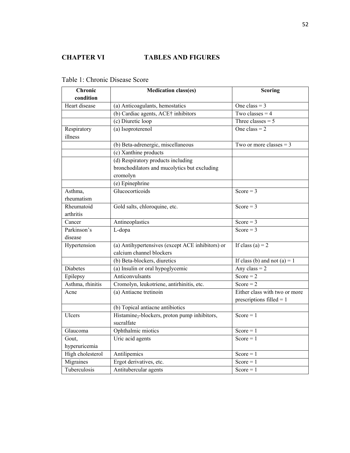## **CHAPTER VI TABLES AND FIGURES**

| Chronic          | <b>Medication class(es)</b>                               | <b>Scoring</b>                |
|------------------|-----------------------------------------------------------|-------------------------------|
| condition        |                                                           |                               |
| Heart disease    | (a) Anticoagulants, hemostatics                           | One class = $3$               |
|                  | (b) Cardiac agents, ACE† inhibitors                       | Two classes $=$ 4             |
|                  | (c) Diuretic loop                                         | Three classes $= 5$           |
| Respiratory      | (a) Isoproterenol                                         | One class $= 2$               |
| illness          |                                                           |                               |
|                  | (b) Beta-adrenergic, miscellaneous                        | Two or more classes $=$ 3     |
|                  | (c) Xanthine products                                     |                               |
|                  | (d) Respiratory products including                        |                               |
|                  | bronchodilators and mucolytics but excluding              |                               |
|                  | cromolyn                                                  |                               |
|                  | (e) Epinephrine                                           |                               |
| Asthma,          | Glucocorticoids                                           | Score = $3$                   |
| rheumatism       |                                                           |                               |
| Rheumatoid       | Gold salts, chloroquine, etc.                             | Score = $3$                   |
| arthritis        |                                                           |                               |
| Cancer           | Antineoplastics                                           | Score = $3$                   |
| Parkinson's      | L-dopa                                                    | Score = $3$                   |
| disease          |                                                           |                               |
| Hypertension     | (a) Antihypertensives (except ACE inhibitors) or          | If class (a) = $2$            |
|                  | calcium channel blockers                                  |                               |
|                  | (b) Beta-blockers, diuretics                              | If class (b) and not (a) = 1  |
| <b>Diabetes</b>  | (a) Insulin or oral hypoglycemic                          | Any class = $2$               |
| Epilepsy         | Anticonvulsants                                           | Score = $2$                   |
| Asthma, rhinitis | Cromolyn, leukotriene, antirhinitis, etc.                 | Score = $2$                   |
| Acne             | (a) Antiacne tretinoin                                    | Either class with two or more |
|                  |                                                           | prescriptions filled $= 1$    |
|                  | (b) Topical antiacne antibiotics                          |                               |
| Ulcers           | Histamine <sub>2</sub> -blockers, proton pump inhibitors, | Score = $1$                   |
|                  | sucralfate                                                |                               |
| Glaucoma         | Ophthalmic miotics                                        | Score = $1$                   |
| Gout,            | Uric acid agents                                          | Score = $1$                   |
| hyperuricemia    |                                                           |                               |
| High cholesterol | Antilipemics                                              | Score $= 1$                   |
| Migraines        | Ergot derivatives, etc.                                   | Score = $1$                   |
| Tuberculosis     | Antitubercular agents                                     | Score $= 1$                   |

Table 1: Chronic Disease Score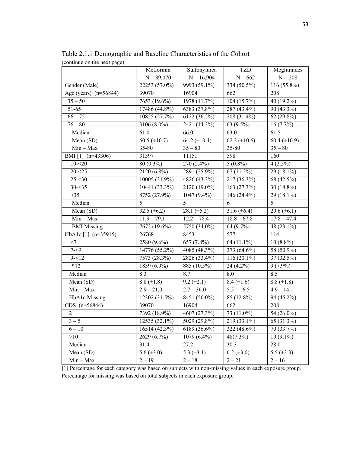| $\sim$ $\prime$         | Metformin         | Sulfonylurea            | <b>TZD</b>                 | Meglitinides        |
|-------------------------|-------------------|-------------------------|----------------------------|---------------------|
|                         | $N = 39,070$      | $N = 16,904$            | $N = 662$                  | $N = 208$           |
| Gender (Male)           | 22253 (57.0%)     | 9993 (59.1%)            | 334 (50.5%)                | 116 (55.8%)         |
| Age (years) $(n=56844)$ | 39070             | 16904                   | 662                        | 208                 |
| $35 - 50$               | $7653(19.6\%)$    | 1978 (11.7%)            | 104(15.7%)                 | $40(19.2\%)$        |
| $51-65$                 | 17486 (44.8%)     | 6383 (37.8%)            | $287(43.4\%)$              | $90(43.3\%)$        |
| $66 - 75$               | 10825 (27.7%)     | 6122 (36.2%)            | 208 (31.4%)                | $62(29.8\%)$        |
| $76 - 80$               | 3106 (8.0%)       | 2421 (14.3%)            | 63 (9.5%)                  | $16(7.7\%)$         |
| Median                  | 61.0              | 66.0                    | 63.0                       | 61.5                |
| Mean $(SD)$             | $60.5 (\pm 10.7)$ | $64.2 (\pm 10.4)$       | $62.2 \ (\pm 10.6)$        | $60.4 (\pm 10.9)$   |
| $Min - Max$             | 35-80             | $35 - 80$               | 35-80                      | $\frac{1}{35 - 80}$ |
| BMI [1] (n=43306)       | 31397             | 11151                   | 598                        | 160                 |
| $10 - 20$               | 80 (0.3%)         | $270(2.4\%)$            | $5(0.8\%)$                 | $4(2.5\%)$          |
| $20 - 25$               | 2120 (6.8%)       | 2891 (25.9%)            | $67(11.2\%)$               | 29 (18.1%)          |
| $25 - 30$               | $10005(31.9\%)$   | 4826 (43.3%)            | $217(36.3\%)$              | 68(42.5%)           |
| $30 - 35$               | 10441 (33.3%)     | 2120 (19.0%)            | 163 $(27.3%)$              | 30 $(18.8\%)$       |
| $>35$                   | 8752 (27.9%)      | $1047(9.4\%)$           | 146 $(24.4\%)$             | 29 (18.1%)          |
| Median                  | 5                 | $\overline{5}$          | 6                          | $\overline{5}$      |
| Mean (SD)               | 32.5 $(\pm 6.2)$  | 28.1 $(\pm 5.2)$        | 31.6 ( $\pm$ 6.4)          | 29.6 ( $\pm$ 6.1)   |
| $Min - Max$             | $11.9 - 79.1$     | $12.2 - 78.4$           | $18.8 - 67.8$              | $17.8 - 47.4$       |
| <b>BMI</b> Missing      | 7672 (19.6%)      | 5750 (34.0%)            | 64 (9.7%)                  | 48 (23.1%)          |
| HbA1c [1] (n=35915)     | 26768             | 8453                    | 577                        | 114                 |
| $<$ 7                   | 2580 (9.6%)       | 657(7.8%)               | $\overline{64}$ $(11.1\%)$ | $10(8.8\%)$         |
| $7 - 9$                 | 14776 (55.2%)     | 4085 (48.3%)            | 373 (64.6%)                | 58 (50.9%)          |
| $9 - 12$                | 7573 (28.3%)      | 2826 (33.4%)            | $116(20.1\%)$              | 37 (32.5%)          |
| $\geq 12$               | 1839 (6.9%)       | 885 (10.5%)             | 24 (4.2%)                  | $9(7.9\%)$          |
| Median                  | 8.3               | 8.7                     | 8.0                        | 8.5                 |
| Mean (SD)               | $8.8 (\pm 1.8)$   | $9.2 (\pm 2.1)$         | 8.4 $(\pm 1.6)$            | 8.8 $(\pm 1.8)$     |
| $Min - Max$             | $2.9 - 21.0$      | $2.7 - 36.0$            | $5.5 - 16.5$               | $4.9 - 14.1$        |
| <b>HbA1c</b> Missing    | 12302 (31.5%)     | 8451 (50.0%)            | 85 (12.8%)                 | 94 (45.2%)          |
| $CDS$ (n=56844)         | 39070             | 16904                   | $\overline{662}$           | 208                 |
| $\overline{2}$          | 7392 (18.9%)      | 4607 (27.3%)            | 73 (11.0%)                 | 54 (26.0%)          |
| $\frac{1}{3} - 5$       | 12535 (32.1%)     | 5029 (29.8%)            | 219 (33.1%)                | 65 (31.3%)          |
| $6 - 10$                | 16514 (42.3%)     | 6189 (36.6%)            | 322 (48.6%)                | 70 (33.7%)          |
| >10                     | 2629 (6.7%)       | 1079 (6.4%)             | 48(7.3%)                   | $19(9.1\%)$         |
| Median                  | 31.4              | $\overline{27.2}$       | 30.3                       | 28.0                |
| Mean (SD)               | $5.6 (\pm 3.0)$   | $\overline{5.3}$ (±3.1) | 6.2 $(\pm 3.0)$            | 5.5 $(\pm 3.3)$     |
| $Min - Max$             | $2 - 19$          | $2 - 18$                | $2 - 21$                   | $2 - 16$            |

Table 2.1.1 Demographic and Baseline Characteristics of the Cohort (continue on the next page)

[1] Percentage for each category was based on subjects with non-missing values in each exposure group. Percentage for missing was based on total subjects in each exposure group.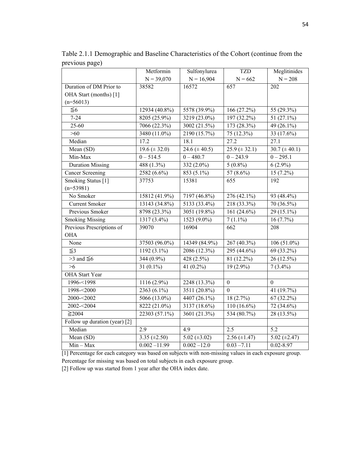|                               | Metformin         | Sulfonylurea      | <b>TZD</b>        | Meglitinides      |
|-------------------------------|-------------------|-------------------|-------------------|-------------------|
|                               | $N = 39,070$      | $N = 16,904$      | $N = 662$         | $N = 208$         |
| Duration of DM Prior to       | 38582             | 16572             | 657               | 202               |
| OHA Start (months) [1]        |                   |                   |                   |                   |
| $(n=56013)$                   |                   |                   |                   |                   |
| $\leq 6$                      | 12934 (40.8%)     | 5578 (39.9%)      | 166 (27.2%)       | 55 (29.3%)        |
| $7 - 24$                      | 8205 (25.9%)      | 3219 (23.0%)      | 197 (32.2%)       | 51 (27.1%)        |
| $25 - 60$                     | 7066 (22.3%)      | 3002(21.5%)       | 173 (28.3%)       | $49(26.1\%)$      |
| >60                           | 3480 (11.0%)      | 2190 (15.7%)      | $75(12.3\%)$      | 33 (17.6%)        |
| Median                        | 17.2              | 18.1              | 27.2              | 27.1              |
| Mean (SD)                     | $19.6 (\pm 32.0)$ | 24.6 $(\pm 40.5)$ | $25.9 (\pm 32.1)$ | $30.7 (\pm 40.1)$ |
| Min-Max                       | $0 - 514.5$       | $0 - 480.7$       | $0 - 243.9$       | $0 - 295.1$       |
| <b>Duration Missing</b>       | 488(1.3%)         | $332(2.0\%)$      | $5(0.8\%)$        | $6(2.9\%)$        |
| <b>Cancer Screening</b>       | 2582 (6.6%)       | 853 (5.1%)        | 57 (8.6%)         | $15(7.2\%)$       |
| Smoking Status [1]            | 37753             | 15381             | $\overline{655}$  | $\overline{192}$  |
| $(n=53981)$                   |                   |                   |                   |                   |
| No Smoker                     | 15812 (41.9%)     | 7197 (46.8%)      | $276(42.1\%)$     | 93 (48.4%)        |
| <b>Current Smoker</b>         | 13143 (34.8%)     | 5133 (33.4%)      | 218 (33.3%)       | 70 (36.5%)        |
| Previous Smoker               | 8798 (23.3%)      | 3051 (19.8%)      | 161 $(24.6\%)$    | 29 (15.1%)        |
| <b>Smoking Missing</b>        | $1317(3.4\%)$     | $1523(9.0\%)$     | $7(1.1\%)$        | 16(7.7%)          |
| Previous Prescriptions of     | 39070             | 16904             | 662               | 208               |
| <b>OHA</b>                    |                   |                   |                   |                   |
| None                          | 37503 (96.0%)     | 14349 (84.9%)     | 267 (40.3%)       | $106(51.0\%)$     |
| $\leq$ 3                      | $1192(3.1\%)$     | 2086 (12.3%)      | 295 (44.6%)       | 69 (33.2%)        |
| $>3$ and $\leq 6$             | $344(0.9\%)$      | 428(2.5%)         | $81(12.2\%)$      | $26(12.5\%)$      |
| $>6$                          | 31 $(0.1\%)$      | 41 $(0.2\%)$      | $19(2.9\%)$       | $7(3.4\%)$        |
| <b>OHA</b> Start Year         |                   |                   |                   |                   |
| 1996-<1998                    | 1116 (2.9%)       | 2248 (13.3%)      | $\boldsymbol{0}$  | $\Omega$          |
| 1998-<2000                    | $2363(6.1\%)$     | 3511 (20.8%)      | $\mathbf{0}$      | 41 (19.7%)        |
| 2000-<2002                    | $5066(13.0\%)$    | 4407 (26.1%)      | 18(2.7%)          | $67(32.2\%)$      |
| 2002-<2004                    | 8222 (21.0%)      | 3137 (18.6%)      | $110(16.6\%)$     | 72 (34.6%)        |
| $\geq$ 2004                   | 22303 (57.1%)     | 3601 (21.3%)      | 534 (80.7%)       | 28 (13.5%)        |
| Follow up duration (year) [2] |                   |                   |                   |                   |
| Median                        | 2.9               | 4.9               | 2.5               | 5.2               |
| Mean (SD)                     | 3.35 $(\pm 2.50)$ | $5.02 (\pm 3.02)$ | $2.56 (\pm 1.47)$ | 5.02 $(\pm 2.47)$ |
| $Min - Max$                   | $0.002 - 11.99$   | $0.002 - 12.0$    | $0.03 - 7.11$     | $0.02 - 8.97$     |

Table 2.1.1 Demographic and Baseline Characteristics of the Cohort (continue from the previous page)

[1] Percentage for each category was based on subjects with non-missing values in each exposure group. Percentage for missing was based on total subjects in each exposure group.

[2] Follow up was started from 1 year after the OHA index date.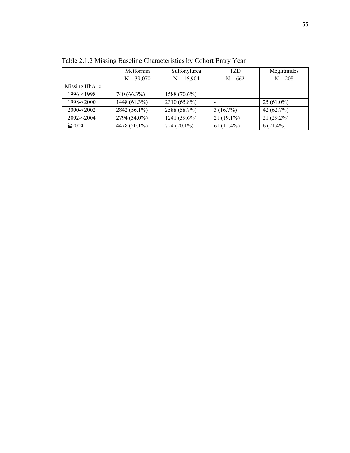|               | Metformin    | Sulfonylurea   | <b>TZD</b>               | Meglitinides |
|---------------|--------------|----------------|--------------------------|--------------|
|               | $N = 39,070$ | $N = 16,904$   | $N = 662$                | $N = 208$    |
| Missing HbA1c |              |                |                          |              |
| $1996 - 1998$ | 740 (66.3%)  | $1588(70.6\%)$ | $\overline{\phantom{a}}$ |              |
| $1998 - 2000$ | 1448 (61.3%) | 2310 (65.8%)   |                          | $25(61.0\%)$ |
| $2000 - 2002$ | 2842 (56.1%) | 2588 (58.7%)   | $3(16.7\%)$              | 42 $(62.7%)$ |
| $2002 - 2004$ | 2794 (34.0%) | 1241 (39.6%)   | $21(19.1\%)$             | $21(29.2\%)$ |
| $\geq$ 2004   | 4478 (20.1%) | 724 (20.1%)    | $61(11.4\%)$             | $6(21.4\%)$  |

Table 2.1.2 Missing Baseline Characteristics by Cohort Entry Year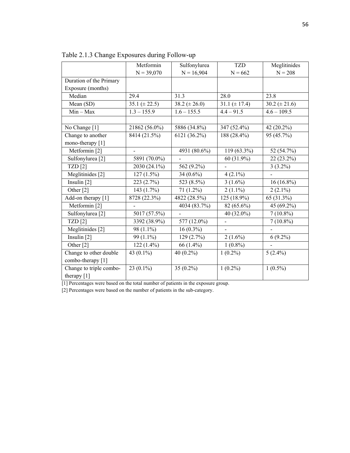|                             | Metformin         | Sulfonylurea      | <b>TZD</b>               | Meglitinides      |
|-----------------------------|-------------------|-------------------|--------------------------|-------------------|
|                             | $N = 39,070$      | $N = 16,904$      | $N = 662$                | $N = 208$         |
| Duration of the Primary     |                   |                   |                          |                   |
| Exposure (months)           |                   |                   |                          |                   |
| Median                      | 29.4              | 31.3              | 28.0                     | 23.8              |
| Mean (SD)                   | $35.1 (\pm 22.5)$ | $38.2 (\pm 26.0)$ | $31.1 (\pm 17.4)$        | $30.2 (\pm 21.6)$ |
| $Min - Max$                 | $1.3 - 155.9$     | $1.6 - 155.5$     | $4.4 - 91.5$             | $4.6 - 109.5$     |
|                             |                   |                   |                          |                   |
| No Change [1]               | 21862 (56.0%)     | 5886 (34.8%)      | 347 (52.4%)              | 42 $(20.2\%)$     |
| Change to another           | 8414 (21.5%)      | 6121 (36.2%)      | 188 (28.4%)              | 95 (45.7%)        |
| mono-therapy [1]            |                   |                   |                          |                   |
| Metformin <sup>[2]</sup>    | $\blacksquare$    | 4931 (80.6%)      | 119 (63.3%)              | 52 (54.7%)        |
| Sulfonylurea <sup>[2]</sup> | 5891 (70.0%)      |                   | 60 (31.9%)               | $22(23.2\%)$      |
| TZD[2]                      | 2030 (24.1%)      | 562 (9.2%)        |                          | $3(3.2\%)$        |
| Meglitinides [2]            | $127(1.5\%)$      | 34 $(0.6\%)$      | $4(2.1\%)$               |                   |
| Insulin $[2]$               | 223(2.7%)         | 523 (8.5%)        | $3(1.6\%)$               | $16(16.8\%)$      |
| Other <sup>[2]</sup>        | 143 (1.7%)        | $71(1.2\%)$       | $2(1.1\%)$               | $2(2.1\%)$        |
| Add-on therapy [1]          | 8728 (22.3%)      | 4822 (28.5%)      | 125 (18.9%)              | 65 (31.3%)        |
| Metformin <sup>[2]</sup>    |                   | 4034 (83.7%)      | 82 (65.6%)               | 45 (69.2%)        |
| Sulfonylurea <sup>[2]</sup> | 5017 (57.5%)      |                   | 40 (32.0%)               | $7(10.8\%)$       |
| TZD[2]                      | 3392 (38.9%)      | 577 (12.0%)       |                          | $7(10.8\%)$       |
| Meglitinides [2]            | 98 $(1.1\%)$      | $16(0.3\%)$       | $\overline{\phantom{0}}$ |                   |
| Insulin $[2]$               | 99 $(1.1\%)$      | 129(2.7%)         | $2(1.6\%)$               | $6(9.2\%)$        |
| Other [2]                   | $122(1.4\%)$      | 66 (1.4%)         | $1(0.8\%)$               |                   |
| Change to other double      | 43 $(0.1\%)$      | 40 $(0.2\%)$      | $1(0.2\%)$               | $5(2.4\%)$        |
| combo-therapy [1]           |                   |                   |                          |                   |
| Change to triple combo-     | 23 $(0.1\%)$      | 35 $(0.2\%)$      | $1(0.2\%)$               | $1(0.5\%)$        |
| therapy [1]                 |                   |                   |                          |                   |

Table 2.1.3 Change Exposures during Follow-up

[1] Percentages were based on the total number of patients in the exposure group.

[2] Percentages were based on the number of patients in the sub-category.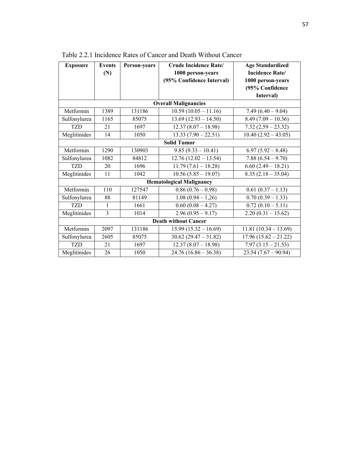| <b>Exposure</b>             | <b>Events</b>  | <b>Person-years</b> | <b>Crude Incidence Rate/</b>    | <b>Age Standardized</b>         |
|-----------------------------|----------------|---------------------|---------------------------------|---------------------------------|
|                             | (N)            |                     | 1000 person-years               | <b>Incidence Rate/</b>          |
|                             |                |                     | (95% Confidence Interval)       | 1000 person-years               |
|                             |                |                     |                                 | (95% Confidence                 |
|                             |                |                     |                                 | Interval)                       |
|                             |                |                     | <b>Overall Malignancies</b>     |                                 |
| Metformin                   | 1389           | 131186              | $10.59(10.05 - 11.16)$          | $7.49(6.40 - 9.04)$             |
| Sulfonylurea                | 1165           | 85075               | $13.69(12.93 - 14.50)$          | $8.49(7.09 - 10.36)$            |
| <b>TZD</b>                  | 21             | 1697                | $12.37(8.07 - 18.98)$           | $7.32(2.59 - 23.32)$            |
| Meglitinides                | 14             | 1050                | $13.33(7.90-22.51)$             | $10.40(2.92 - 43.05)$           |
|                             |                |                     | <b>Solid Tumor</b>              |                                 |
| Metformin                   | 1290           | 130903              | $9.85(9.33 - 10.41)$            | $6.97(5.92 - 8.48)$             |
| Sulfonylurea                | 1082           | 84812               | $12.76(12.02 - 13.54)$          | $7.88(6.54 - 9.70)$             |
| <b>TZD</b>                  | 20             | 1696                | $11.79(7.61 - 18.28)$           | $6.60(2.49 - 18.21)$            |
| Meglitinides                | 11             | 1042                | $10.56(5.85 - 19.07)$           | $8.35(2.18-35.04)$              |
|                             |                |                     | <b>Hematological Malignancy</b> |                                 |
| Metformin                   | 110            | 127547              | $0.86(0.76-0.98)$               | $0.61(0.37 - 1.13)$             |
| Sulfonylurea                | 88             | 81149               | $1.08(0.94-1.26)$               | $\overline{0.70}$ (0.39 – 1.33) |
| TZD                         | 1              | 1661                | $0.60(0.08 - 4.27)$             | $0.72(0.10-5.11)$               |
| Meglitinides                | $\overline{3}$ | 1014                | $2.96(0.95 - 9.17)$             | $2.20(0.31 - 15.62)$            |
| <b>Death without Cancer</b> |                |                     |                                 |                                 |
| Metformin                   | 2097           | 131186              | $15.99(15.32 - 16.69)$          | $11.81(10.34 - 13.69)$          |
| Sulfonylurea                | 2605           | 85075               | $30.62(29.47 - 31.82)$          | $17.96(15.62 - 21.22)$          |
| <b>TZD</b>                  | 21             | 1697                | $12.37(8.07 - 18.98)$           | $7.97(3.15 - 21.53)$            |
| Meglitinides                | 26             | 1050                | $24.76(16.86 - 36.38)$          | $23.54(7.67 - 90.94)$           |

Table 2.2.1 Incidence Rates of Cancer and Death Without Cancer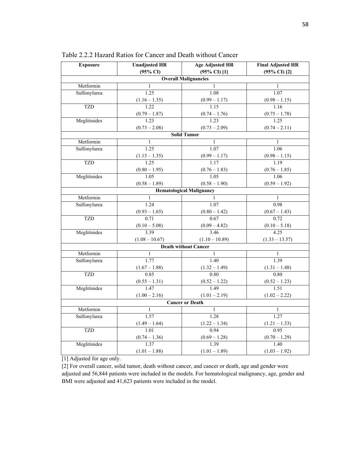| <b>Exposure</b> | <b>Unadjusted HR</b>       | <b>Age Adjusted HR</b>          | <b>Final Adjusted HR</b>   |
|-----------------|----------------------------|---------------------------------|----------------------------|
|                 | $(95\% \text{ CI})$        | $(95\% \text{ CI})$ [1]         | $(95\% \text{ CI})$ [2]    |
|                 |                            | <b>Overall Malignancies</b>     |                            |
| Metformin       | 1                          | 1                               | 1                          |
| Sulfonylurea    | 1.25                       | 1.08                            | 1.07                       |
|                 | $(1.16 - 1.35)$            | $\frac{(0.99 - 1.17)}{1.15}$    | $(0.98 - 1.15)$            |
| <b>TZD</b>      | 1.22                       |                                 | 1.16                       |
|                 | $\frac{(0.79-1.87)}{1.23}$ | $\frac{(0.74 - 1.76)}{1.23}$    | $\frac{(0.75-1.78)}{1.25}$ |
| Meglitinides    |                            |                                 |                            |
|                 | $(0.73 - 2.08)$            | $(0.73 - 2.09)$                 | $(0.74 - 2.11)$            |
|                 |                            | <b>Solid Tumor</b>              |                            |
| Metformin       | $\mathbf{1}$               | $\mathbf{1}$                    | $\mathbf{1}$               |
| Sulfonylurea    | 1.25                       | 1.07                            | 1.06                       |
|                 | $(1.15 - 1.35)$            | $(0.99 - 1.17)$                 | $(0.98 - 1.15)$            |
| <b>TZD</b>      | 1.25                       | 1.17                            | 1.19                       |
|                 | $(0.80 - 1.95)$            | $\frac{(0.76-1.83)}{1.05}$      | $(0.76 - 1.85)$            |
| Meglitinides    | 1.05                       |                                 | 1.06                       |
|                 | $(0.58 - 1.89)$            | $(0.58 - 1.90)$                 | $(0.59 - 1.92)$            |
|                 |                            | <b>Hematological Malignancy</b> |                            |
| Metformin       | $\mathbf{1}$               |                                 | $\mathbf{1}$               |
| Sulfonylurea    | 1.24                       | 1.07                            | 0.98                       |
|                 | $(0.93 - 1.65)$            | $(0.80 - 1.42)$                 | $(0.67 - 1.43)$            |
| <b>TZD</b>      | 0.71                       | 0.67                            | 0.72                       |
|                 | $(0.10 - 5.08)$            | $(0.09 - 4.82)$                 | $(0.10 - 5.18)$            |
| Meglitinides    | 3.39                       | 3.46                            | 4.25                       |
|                 | $(1.08 - 10.67)$           | $(1.10 - 10.89)$                | $(1.33 - 13.57)$           |
|                 |                            | <b>Death without Cancer</b>     |                            |
| Metformin       | 1                          | 1                               | 1                          |
| Sulfonylurea    | 1.77                       | 1.40                            | 1.39                       |
|                 | $(1.67 - 1.88)$            | $(1.32 - 1.49)$                 | $(1.31 - 1.48)$            |
| <b>TZD</b>      | 0.85                       | 0.80                            | 0.80                       |
|                 | $(0.55 - 1.31)$            | $(0.52 - 1.22)$                 | $(0.52 - 1.23)$            |
| Meglitinides    | 1.47                       | 1.49                            | 1.51                       |
|                 | $(1.00 - 2.16)$            | $(1.01 - 2.19)$                 | $(1.02 - 2.22)$            |
|                 |                            | <b>Cancer or Death</b>          |                            |
| Metformin       | 1                          | $\mathbf{1}$                    | $\mathbf{1}$               |
| Sulfonylurea    | 1.57                       | 1.28                            | 1.27                       |
|                 | $(1.49 - 1.64)$            | $(1.22 - 1.34)$                 | $(1.21 - 1.33)$            |
| <b>TZD</b>      | 1.01                       | 0.94                            | 0.95                       |
|                 | $(0.74 - 1.36)$            | $(0.69 - 1.28)$                 | $(0.70 - 1.29)$            |
| Meglitinides    | 1.37                       | 1.39                            | 1.40                       |
|                 | $(1.01 - 1.88)$            | $(1.01 - 1.89)$                 | $(1.03 - 1.92)$            |

Table 2.2.2 Hazard Ratios for Cancer and Death without Cancer

[1] Adjusted for age only.

[2] For overall cancer, solid tumor, death without cancer, and cancer or death, age and gender were adjusted and 56,844 patients were included in the models. For hematological malignancy, age, gender and BMI were adjusted and 41,623 patients were included in the model.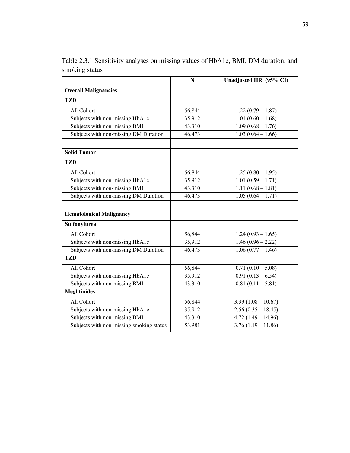|                                          | N      | Unadjusted HR (95% CI) |
|------------------------------------------|--------|------------------------|
| <b>Overall Malignancies</b>              |        |                        |
| <b>TZD</b>                               |        |                        |
| All Cohort                               | 56,844 | $1.22(0.79 - 1.87)$    |
| Subjects with non-missing HbA1c          | 35,912 | $1.01(0.60 - 1.68)$    |
| Subjects with non-missing BMI            | 43,310 | $1.09(0.68 - 1.76)$    |
| Subjects with non-missing DM Duration    | 46,473 | $1.03(0.64 - 1.66)$    |
| <b>Solid Tumor</b>                       |        |                        |
| <b>TZD</b>                               |        |                        |
| All Cohort                               | 56,844 | $1.25(0.80 - 1.95)$    |
| Subjects with non-missing HbA1c          | 35,912 | $1.01(0.59 - 1.71)$    |
| Subjects with non-missing BMI            | 43,310 | $1.11(0.68 - 1.81)$    |
| Subjects with non-missing DM Duration    | 46,473 | $1.05(0.64 - 1.71)$    |
| <b>Hematological Malignancy</b>          |        |                        |
| Sulfonylurea                             |        |                        |
| All Cohort                               | 56,844 | $1.24(0.93 - 1.65)$    |
| Subjects with non-missing HbA1c          | 35,912 | $1.46(0.96 - 2.22)$    |
| Subjects with non-missing DM Duration    | 46,473 | $1.06(0.77 - 1.46)$    |
| <b>TZD</b>                               |        |                        |
| All Cohort                               | 56,844 | $0.71(0.10-5.08)$      |
| Subjects with non-missing HbA1c          | 35,912 | $0.91(0.13-6.54)$      |
| Subjects with non-missing BMI            | 43,310 | $0.81(0.11 - 5.81)$    |
| <b>Meglitinides</b>                      |        |                        |
| All Cohort                               | 56,844 | $3.39(1.08 - 10.67)$   |
| Subjects with non-missing HbA1c          | 35,912 | $2.56(0.35 - 18.45)$   |
| Subjects with non-missing BMI            | 43,310 | $4.72(1.49 - 14.96)$   |
| Subjects with non-missing smoking status | 53,981 | $3.76(1.19 - 11.86)$   |

Table 2.3.1 Sensitivity analyses on missing values of HbA1c, BMI, DM duration, and smoking status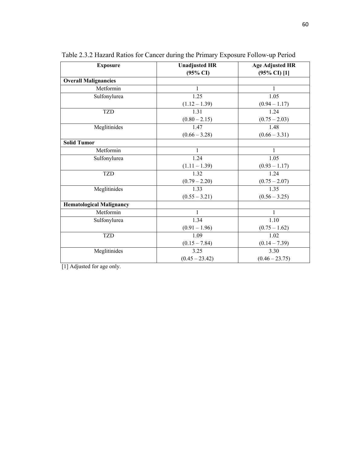| <b>Exposure</b>                 | <b>Unadjusted HR</b> | <b>Age Adjusted HR</b>  |
|---------------------------------|----------------------|-------------------------|
|                                 | $(95\% \text{ CI})$  | $(95\% \text{ CI})$ [1] |
| <b>Overall Malignancies</b>     |                      |                         |
| Metformin                       | 1                    | 1                       |
| Sulfonylurea                    | 1.25                 | 1.05                    |
|                                 | $(1.12 - 1.39)$      | $(0.94 - 1.17)$         |
| <b>TZD</b>                      | 1.31                 | 1.24                    |
|                                 | $(0.80 - 2.15)$      | $(0.75 - 2.03)$         |
| Meglitinides                    | 1.47                 | 1.48                    |
|                                 | $(0.66 - 3.28)$      | $(0.66 - 3.31)$         |
| <b>Solid Tumor</b>              |                      |                         |
| Metformin                       |                      | $\mathbf{1}$            |
| Sulfonylurea                    | 1.24                 | 1.05                    |
|                                 | $(1.11 - 1.39)$      | $(0.93 - 1.17)$         |
| <b>TZD</b>                      | 1.32                 | 1.24                    |
|                                 | $(0.79 - 2.20)$      | $(0.75 - 2.07)$         |
| Meglitinides                    | 1.33                 | 1.35                    |
|                                 | $(0.55 - 3.21)$      | $(0.56 - 3.25)$         |
| <b>Hematological Malignancy</b> |                      |                         |
| Metformin                       | 1                    | $\mathbf{1}$            |
| Sulfonylurea                    | 1.34                 | 1.10                    |
|                                 | $(0.91 - 1.96)$      | $(0.75 - 1.62)$         |
| <b>TZD</b>                      | 1.09                 | 1.02                    |
|                                 | $(0.15 - 7.84)$      | $(0.14 - 7.39)$         |
| Meglitinides                    | 3.25                 | 3.30                    |
|                                 | $(0.45 - 23.42)$     | $(0.46 - 23.75)$        |

Table 2.3.2 Hazard Ratios for Cancer during the Primary Exposure Follow-up Period

[1] Adjusted for age only.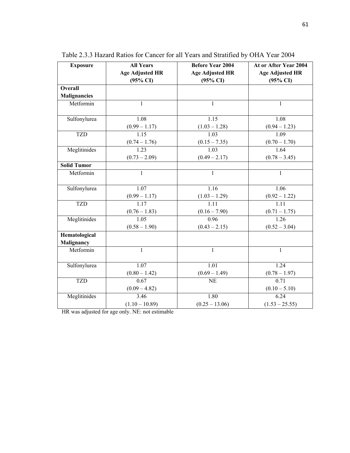| <b>Exposure</b>     | <b>All Years</b>       | <b>Before Year 2004</b> | At or After Year 2004  |
|---------------------|------------------------|-------------------------|------------------------|
|                     | <b>Age Adjusted HR</b> | <b>Age Adjusted HR</b>  | <b>Age Adjusted HR</b> |
|                     | $(95\% \text{ CI})$    | $(95\% \text{ CI})$     | $(95\% \text{ CI})$    |
| Overall             |                        |                         |                        |
| <b>Malignancies</b> |                        |                         |                        |
| Metformin           | $\mathbf{1}$           | $\mathbf{1}$            | $\mathbf{1}$           |
| Sulfonylurea        | 1.08                   | 1.15                    | 1.08                   |
|                     | $(0.99 - 1.17)$        | $(1.03 - 1.28)$         | $(0.94 - 1.23)$        |
| <b>TZD</b>          | 1.15                   | 1.03                    | 1.09                   |
|                     | $(0.74 - 1.76)$        | $(0.15 - 7.35)$         | $(0.70 - 1.70)$        |
| Meglitinides        | 1.23                   | 1.03                    | 1.64                   |
|                     | $(0.73 - 2.09)$        | $(0.49 - 2.17)$         | $(0.78 - 3.45)$        |
| <b>Solid Tumor</b>  |                        |                         |                        |
| Metformin           | $\mathbf{1}$           | $\mathbf{1}$            | $\mathbf{1}$           |
| Sulfonylurea        | 1.07                   | 1.16                    | 1.06                   |
|                     | $(0.99 - 1.17)$        | $(1.03 - 1.29)$         | $(0.92 - 1.22)$        |
| <b>TZD</b>          | 1.17                   | 1.11                    | 1.11                   |
|                     | $(0.76 - 1.83)$        | $(0.16 - 7.90)$         | $(0.71 - 1.75)$        |
| Meglitinides        | 1.05                   | 0.96                    | 1.26                   |
|                     | $(0.58 - 1.90)$        | $(0.43 - 2.15)$         | $(0.52 - 3.04)$        |
| Hematological       |                        |                         |                        |
| Malignancy          |                        |                         |                        |
| Metformin           | 1                      | 1                       | 1                      |
| Sulfonylurea        | 1.07                   | 1.01                    | 1.24                   |
|                     | $(0.80 - 1.42)$        | $(0.69 - 1.49)$         | $(0.78 - 1.97)$        |
| <b>TZD</b>          | 0.67                   | <b>NE</b>               | 0.71                   |
|                     | $(0.09 - 4.82)$        |                         | $(0.10 - 5.10)$        |
| Meglitinides        | 3.46                   | 1.80                    | 6.24                   |
|                     | $(1.10 - 10.89)$       | $(0.25 - 13.06)$        | $(1.53 - 25.55)$       |

Table 2.3.3 Hazard Ratios for Cancer for all Years and Stratified by OHA Year 2004

HR was adjusted for age only. NE: not estimable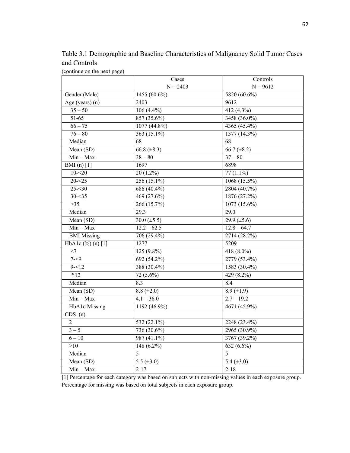Table 3.1 Demographic and Baseline Characteristics of Malignancy Solid Tumor Cases and Controls

(continue on the next page)

|                               | Cases            | Controls          |
|-------------------------------|------------------|-------------------|
|                               | $N = 2403$       | $N = 9612$        |
| Gender (Male)                 | 1455 (60.6%)     | 5820 (60.6%)      |
| Age (years) (n)               | 2403             | 9612              |
| $35 - 50$                     | $106(4.4\%)$     | 412 (4.3%)        |
| $51-65$                       | 857 (35.6%)      | 3458 (36.0%)      |
| $66 - 75$                     | 1077 (44.8%)     | 4365 (45.4%)      |
| $76 - 80$                     | 363 (15.1%)      | 1377(14.3%)       |
| Median                        | $\overline{68}$  | 68                |
| Mean (SD)                     | 66.8 $(\pm 8.3)$ | 66.7 $(\pm 8.2)$  |
| $Min - Max$                   | $38 - 80$        | $37 - 80$         |
| BMI $(n)$ [1]                 | 1697             | 6898              |
| $10 - 20$                     | $20(1.2\%)$      | $77(1.1\%)$       |
| $20 - 25$                     | 256 (15.1%)      | 1068 (15.5%)      |
| $25 - 30$                     | 686 (40.4%)      | 2804 (40.7%)      |
| $30 - 35$                     | 469 (27.6%)      | 1876 (27.2%)      |
| $>35$                         | 266 (15.7%)      | 1073 (15.6%)      |
| Median                        | 29.3             | 29.0              |
| Mean (SD)                     | 30.0 $(\pm 5.5)$ | 29.9 $(\pm 5.6)$  |
| $Min - Max$                   | $12.2 - 62.5$    | $12.8 - 64.7$     |
| <b>BMI</b> Missing            | 706 (29.4%)      | 2714 (28.2%)      |
| HbA1c $(\frac{6}{6})$ (n) [1] | 1277             | 5209              |
| $<$ 7                         | $125(9.8\%)$     | 418 (8.0%)        |
| $7 - 9$                       | 692 (54.2%)      | 2779 (53.4%)      |
| $9 - 12$                      | 388 (30.4%)      | 1583 (30.4%)      |
| $\geq 12$                     | $72(5.6\%)$      | 429 (8.2%)        |
| Median                        | 8.3              | 8.4               |
| Mean (SD)                     | $8.8 (\pm 2.0)$  | $8.9 \ (\pm 1.9)$ |
| $Min - Max$                   | $4.1 - 36.0$     | $2.7 - 19.2$      |
| <b>HbA1c</b> Missing          | 1192 (46.9%)     | 4671 (45.9%)      |
| CDS(n)                        |                  |                   |
| $\overline{2}$                | 532 $(22.1\%)$   | 2248 (23.4%)      |
| $3 - 5$                       | 736 (30.6%)      | 2965 (30.9%)      |
| $6 - 10$                      | $987(41.1\%)$    | 3767 (39.2%)      |
| >10                           | $148(6.2\%)$     | $632(6.6\%)$      |
| Median                        | 5                | $\overline{5}$    |
| Mean (SD)                     | 5.5 $(\pm 3.0)$  | 5.4 $(\pm 3.0)$   |
| $Min - Max$                   | $2 - 17$         | $2 - 18$          |

[1] Percentage for each category was based on subjects with non-missing values in each exposure group. Percentage for missing was based on total subjects in each exposure group.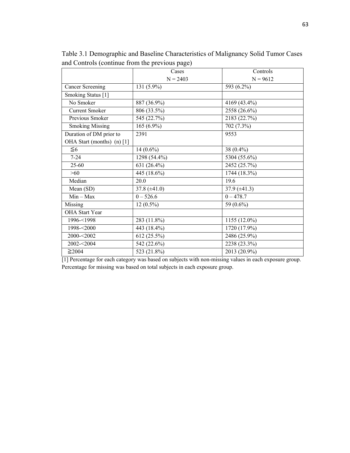|                              | Cases             | Controls          |
|------------------------------|-------------------|-------------------|
|                              | $N = 2403$        | $N = 9612$        |
| <b>Cancer Screening</b>      | 131 (5.9%)        | 593 (6.2%)        |
| Smoking Status [1]           |                   |                   |
| No Smoker                    | 887 (36.9%)       | 4169 (43.4%)      |
| <b>Current Smoker</b>        | 806 (33.5%)       | 2558 (26.6%)      |
| Previous Smoker              | 545 (22.7%)       | 2183 (22.7%)      |
| <b>Smoking Missing</b>       | $165(6.9\%)$      | 702 (7.3%)        |
| Duration of DM prior to      | 2391              | 9553              |
| OHA Start (months) $(n)$ [1] |                   |                   |
| $\leq 6$                     | $14(0.6\%)$       | 38 $(0.4\%)$      |
| $7 - 24$                     | 1298 (54.4%)      | 5304 (55.6%)      |
| $25 - 60$                    | 631 (26.4%)       | 2452 (25.7%)      |
| $>60$                        | 445 (18.6%)       | 1744 (18.3%)      |
| Median                       | 20.0              | 19.6              |
| Mean (SD)                    | 37.8 $(\pm 41.0)$ | 37.9 $(\pm 41.3)$ |
| $Min - Max$                  | $0 - 526.6$       | $0 - 478.7$       |
| Missing                      | $12(0.5\%)$       | 59 (0.6%)         |
| OHA Start Year               |                   |                   |
| 1996-<1998                   | 283 (11.8%)       | 1155 (12.0%)      |
| 1998-<2000                   | 443 (18.4%)       | 1720 (17.9%)      |
| 2000-<2002                   | 612 (25.5%)       | 2486 (25.9%)      |
| 2002-<2004                   | 542 (22.6%)       | 2238 (23.3%)      |
| $\geq$ 2004                  | 523 (21.8%)       | 2013 (20.9%)      |

Table 3.1 Demographic and Baseline Characteristics of Malignancy Solid Tumor Cases and Controls (continue from the previous page)

[1] Percentage for each category was based on subjects with non-missing values in each exposure group. Percentage for missing was based on total subjects in each exposure group.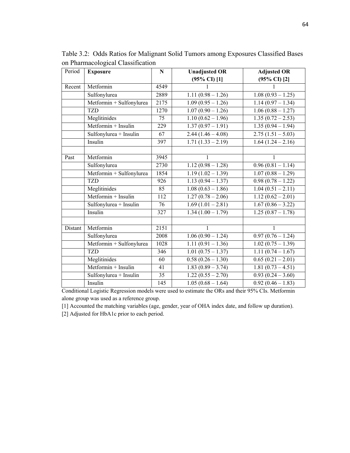| Period  | <b>Exposure</b>                         | ${\bf N}$ | <b>Unadjusted OR</b>    | <b>Adjusted OR</b>              |
|---------|-----------------------------------------|-----------|-------------------------|---------------------------------|
|         |                                         |           | $(95\% \text{ CI})$ [1] | $(95\% \text{ CI})$ [2]         |
| Recent  | Metformin                               | 4549      |                         |                                 |
|         | Sulfonylurea                            | 2889      | $1.11(0.98 - 1.26)$     | $1.08(0.93 - 1.25)$             |
|         | Metformin + Sulfonylurea                | 2175      | $1.09(0.95 - 1.26)$     | $1.14(0.97 - 1.34)$             |
|         | <b>TZD</b>                              | 1270      | $1.07(0.90 - 1.26)$     | $1.06(0.88 - 1.27)$             |
|         | Meglitinides                            | 75        | $1.10(0.62 - 1.96)$     | $1.35(0.72-2.53)$               |
|         | Metformin + Insulin                     | 229       | $1.37(0.97 - 1.91)$     | $1.35(0.94 - 1.94)$             |
|         | Sulfonylurea + Insulin                  | 67        | $2.44(1.46 - 4.08)$     | $2.75(1.51 - 5.03)$             |
|         | Insulin                                 | 397       | $1.71(1.33 - 2.19)$     | $1.64(1.24 - 2.16)$             |
|         |                                         |           |                         |                                 |
| Past    | Metformin                               | 3945      | 1                       | 1                               |
|         | Sulfonylurea                            | 2730      | $1.12(0.98 - 1.28)$     | $\overline{0.96}$ (0.81 – 1.14) |
|         | Metformin + Sulfonylurea                | 1854      | $1.19(1.02 - 1.39)$     | $1.07(0.88 - 1.29)$             |
|         | <b>TZD</b>                              | 926       | $1.13(0.94 - 1.37)$     | $0.98(0.78-1.22)$               |
|         | Meglitinides                            | 85        | $1.08(0.63 - 1.86)$     | $1.04(0.51 - 2.11)$             |
|         | Metformin + Insulin                     | 112       | $1.27(0.78-2.06)$       | $1.12(0.62 - 2.01)$             |
|         | Sulfonylurea + Insulin                  | 76        | $1.69(1.01 - 2.81)$     | $1.67(0.86 - 3.22)$             |
|         | Insulin                                 | 327       | $1.34(1.00 - 1.79)$     | $1.25(0.87 - 1.78)$             |
|         |                                         |           |                         |                                 |
| Distant | Metformin                               | 2151      | 1                       | 1                               |
|         | Sulfonylurea                            | 2008      | $1.06(0.90 - 1.24)$     | $0.97(0.76 - 1.24)$             |
|         | Metformin + Sulfonylurea                | 1028      | $1.11(0.91 - 1.36)$     | $1.02(0.75 - 1.39)$             |
|         | <b>TZD</b>                              | 346       | $1.01(0.75 - 1.37)$     | $1.11(0.74 - 1.67)$             |
|         | Meglitinides                            | 60        | $0.58(0.26 - 1.30)$     | $0.65(0.21-2.01)$               |
|         | $\overline{\text{Metformin}}$ + Insulin | 41        | $1.83(0.89 - 3.74)$     | $1.81(0.73-4.51)$               |
|         | Sulfonylurea + Insulin                  | 35        | $1.22(0.55 - 2.70)$     | $0.93(0.24-3.60)$               |
|         | Insulin                                 | 145       | $1.05(0.68 - 1.64)$     | $0.92(0.46 - 1.83)$             |

Table 3.2: Odds Ratios for Malignant Solid Tumors among Exposures Classified Bases on Pharmacological Classification

Conditional Logistic Regression models were used to estimate the ORs and their 95% CIs. Metformin alone group was used as a reference group.

[1] Accounted the matching variables (age, gender, year of OHA index date, and follow up duration).

[2] Adjusted for HbA1c prior to each period.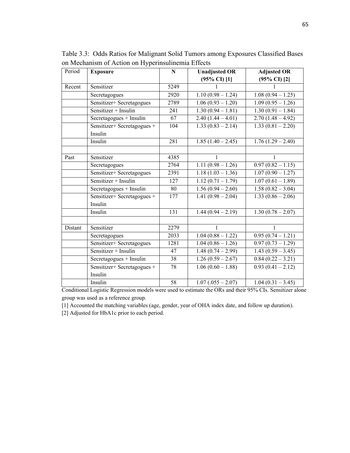| Period  | <b>Exposure</b>                        | $\mathbf N$ | <b>Unadjusted OR</b>    | <b>Adjusted OR</b>      |
|---------|----------------------------------------|-------------|-------------------------|-------------------------|
|         |                                        |             | $(95\% \text{ CI})$ [1] | $(95\% \text{ CI})$ [2] |
| Recent  | Sensitizer                             | 5249        |                         | 1                       |
|         | Secretagogues                          | 2920        | $1.10(0.98 - 1.24)$     | $1.08(0.94 - 1.25)$     |
|         | Sensitizer+ Secretagogues              | 2789        | $1.06(0.93 - 1.20)$     | $1.09(0.95 - 1.26)$     |
|         | Sensitizer + Insulin                   | 241         | $1.30(0.94 - 1.81)$     | $1.30(0.91 - 1.84)$     |
|         | Secretagogues + Insulin                | 67          | $2.40(1.44 - 4.01)$     | $2.70(1.48 - 4.92)$     |
|         | Sensitizer+ Secretagogues +<br>Insulin | 104         | $1.33(0.83 - 2.14)$     | $1.33(0.81 - 2.20)$     |
|         | Insulin                                | 281         | $1.85(1.40 - 2.45)$     | $1.76(1.29 - 2.40)$     |
|         |                                        |             |                         |                         |
| Past    | Sensitizer                             | 4385        | $\mathbf{1}$            | $\mathbf{1}$            |
|         | Secretagogues                          | 2764        | $1.11(0.98 - 1.26)$     | $0.97(0.82 - 1.15)$     |
|         | Sensitizer+ Secretagogues              | 2391        | $1.18(1.03 - 1.36)$     | $1.07(0.90 - 1.27)$     |
|         | Sensitizer + Insulin                   | 127         | $1.12(0.71 - 1.79)$     | $1.07(0.61 - 1.89)$     |
|         | Secretagogues + Insulin                | 80          | $1.56(0.94 - 2.60)$     | $1.58(0.82 - 3.04)$     |
|         | Sensitizer+ Secretagogues +<br>Insulin | 177         | $1.41(0.98 - 2.04)$     | $1.33(0.86 - 2.06)$     |
|         | Insulin                                | 131         | $1.44(0.94 - 2.19)$     | $1.30(0.78 - 2.07)$     |
|         |                                        |             |                         |                         |
| Distant | Sensitizer                             | 2279        | $\mathbf{1}$            | $\mathbf{1}$            |
|         | Secretagogues                          | 2033        | $1.04(0.88 - 1.22)$     | $0.95(0.74-1.21)$       |
|         | Sensitizer+ Secretagogues              | 1281        | $1.04(0.86 - 1.26)$     | $0.97(0.73 - 1.29)$     |
|         | Sensitizer + Insulin                   | 47          | $1.48(0.74 - 2.99)$     | $1.43(0.59 - 3.45)$     |
|         | Secretagogues + Insulin                | 38          | $1.26(0.59 - 2.67)$     | $0.84(0.22 - 3.21)$     |
|         | Sensitizer+ Secretagogues +            | 78          | $1.06(0.60 - 1.88)$     | $0.93(0.41 - 2.12)$     |
|         | Insulin                                |             |                         |                         |
|         | Insulin                                | 58          | $1.07(.055 - 2.07)$     | $1.04(0.31 - 3.45)$     |

Table 3.3: Odds Ratios for Malignant Solid Tumors among Exposures Classified Bases on Mechanism of Action on Hyperinsulinemia Effects

Conditional Logistic Regression models were used to estimate the ORs and their 95% CIs. Sensitizer alone group was used as a reference group.

[1] Accounted the matching variables (age, gender, year of OHA index date, and follow up duration).

[2] Adjusted for HbA1c prior to each period.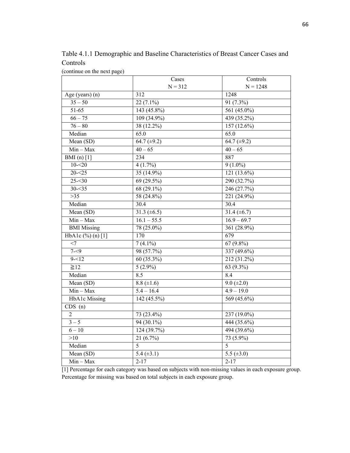Table 4.1.1 Demographic and Baseline Characteristics of Breast Cancer Cases and Controls

(continue on the next page)

|                      | Cases            | Controls         |
|----------------------|------------------|------------------|
|                      | $N = 312$        | $N = 1248$       |
| Age (years) (n)      | 312              | 1248             |
| $35 - 50$            | $22(7.1\%)$      | 91 (7.3%)        |
| 51-65                | 143 (45.8%)      | 561 (45.0%)      |
| $66 - 75$            | $109(34.9\%)$    | 439 (35.2%)      |
| $76 - 80$            | 38 (12.2%)       | 157 (12.6%)      |
| Median               | 65.0             | 65.0             |
| Mean (SD)            | $64.7 (\pm 9.2)$ | $64.7 (\pm 9.2)$ |
| $Min - Max$          | $40 - 65$        | $40 - 65$        |
| BMI $(n)$ [1]        | 234              | 887              |
| $10 - 20$            | 4(1.7%)          | $9(1.0\%)$       |
| $20 - 25$            | 35 (14.9%)       | 121 (13.6%)      |
| $25 - 30$            | 69 (29.5%)       | 290 (32.7%)      |
| $30 - 35$            | 68 (29.1%)       | 246 (27.7%)      |
| $>35$                | 58 (24.8%)       | 221 (24.9%)      |
| Median               | 30.4             | 30.4             |
| Mean (SD)            | 31.3 $(\pm 6.5)$ | 31.4 $(\pm 6.7)$ |
| $Min - Max$          | $16.1 - 55.5$    | $16.9 - 69.7$    |
| <b>BMI</b> Missing   | 78 (25.0%)       | 361 (28.9%)      |
| HbA1c (%) (n) [1]    | 170              | $\overline{679}$ |
| $<$ 7                | $7(4.1\%)$       | $67(9.8\%)$      |
| $7 - 9$              | 98 (57.7%)       | 337 (49.6%)      |
| $9 - 12$             | 60 (35.3%)       | 212 (31.2%)      |
| $\geq 12$            | $5(2.9\%)$       | 63 (9.3%)        |
| Median               | 8.5              | 8.4              |
| Mean (SD)            | $8.8 (\pm 1.6)$  | $9.0 (\pm 2.0)$  |
| $Min - Max$          | $5.4 - 16.4$     | $4.9 - 19.0$     |
| <b>HbA1c Missing</b> | 142 (45.5%)      | 569 (45.6%)      |
| CDS(n)               |                  |                  |
| $\overline{2}$       | 73 (23.4%)       | 237 (19.0%)      |
| $3 - 5$              | 94 (30.1%)       | 444 (35.6%)      |
| $6 - 10$             | 124 (39.7%)      | 494 (39.6%)      |
| >10                  | $21(6.7\%)$      | 73 (5.9%)        |
| Median               | $\overline{5}$   | $\overline{5}$   |
| Mean (SD)            | 5.4 $(\pm 3.1)$  | 5.5 $(\pm 3.0)$  |
| $Min - Max$          | $2 - 17$         | $2 - 17$         |

[1] Percentage for each category was based on subjects with non-missing values in each exposure group. Percentage for missing was based on total subjects in each exposure group.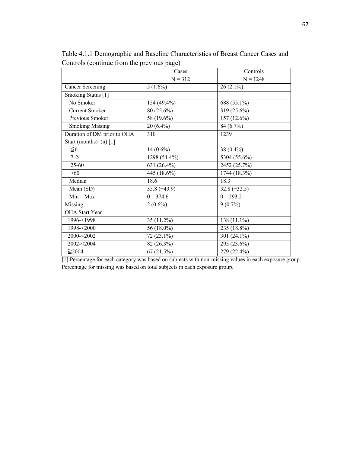|                             | Cases             | Controls          |
|-----------------------------|-------------------|-------------------|
|                             | $N = 312$         | $N = 1248$        |
| <b>Cancer Screening</b>     | $5(1.6\%)$        | $26(2.1\%)$       |
| Smoking Status [1]          |                   |                   |
| No Smoker                   | 154 (49.4%)       | 688 (55.1%)       |
| <b>Current Smoker</b>       | 80 (25.6%)        | 319 (25.6%)       |
| Previous Smoker             | 58 (19.6%)        | $157(12.6\%)$     |
| <b>Smoking Missing</b>      | 20 (6.4%)         | 84 (6.7%)         |
| Duration of DM prior to OHA | 310               | 1239              |
| Start (months) $(n)$ [1]    |                   |                   |
| $\leq 6$                    | 14 $(0.6\%)$      | 38 $(0.4\%)$      |
| $7 - 24$                    | 1298 (54.4%)      | 5304 (55.6%)      |
| 25-60                       | 631 (26.4%)       | 2452 (25.7%)      |
| $>60$                       | 445 (18.6%)       | 1744 (18.3%)      |
| Median                      | 18.6              | 18.3              |
| Mean (SD)                   | 35.8 $(\pm 43.9)$ | $32.8 (\pm 32.5)$ |
| $Min - Max$                 | $0 - 374.6$       | $0 - 293.2$       |
| Missing                     | $2(0.6\%)$        | $9(0.7\%)$        |
| <b>OHA Start Year</b>       |                   |                   |
| 1996-<1998                  | 35 (11.2%)        | $138(11.1\%)$     |
| 1998-<2000                  | 56 (18.0%)        | 235 (18.8%)       |
| 2000-<2002                  | 72 (23.1%)        | 301 (24.1%)       |
| 2002-<2004                  | 82 (26.3%)        | 295 (23.6%)       |
| $\geq$ 2004                 | 67(21.5%)         | 279 (22.4%)       |

Table 4.1.1 Demographic and Baseline Characteristics of Breast Cancer Cases and Controls (continue from the previous page)

[1] Percentage for each category was based on subjects with non-missing values in each exposure group. Percentage for missing was based on total subjects in each exposure group.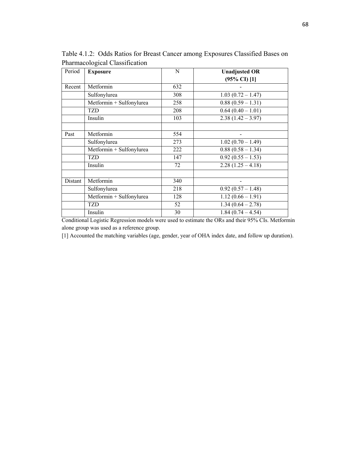| Period  | <b>Exposure</b>          | N   | <b>Unadjusted OR</b>    |
|---------|--------------------------|-----|-------------------------|
|         |                          |     | $(95\% \text{ CI})$ [1] |
| Recent  | Metformin                | 632 |                         |
|         | Sulfonylurea             | 308 | $1.03(0.72 - 1.47)$     |
|         | Metformin + Sulfonylurea | 258 | $0.88(0.59 - 1.31)$     |
|         | TZD                      | 208 | $0.64(0.40 - 1.01)$     |
|         | Insulin                  | 103 | $2.38(1.42 - 3.97)$     |
| Past    | Metformin                | 554 |                         |
|         | Sulfonylurea             | 273 | $1.02(0.70 - 1.49)$     |
|         | Metformin + Sulfonylurea | 222 | $0.88(0.58 - 1.34)$     |
|         | TZD                      | 147 | $0.92(0.55 - 1.53)$     |
|         | Insulin                  | 72  | $2.28(1.25 - 4.18)$     |
| Distant | Metformin                | 340 |                         |
|         | Sulfonylurea             | 218 | $0.92(0.57 - 1.48)$     |
|         | Metformin + Sulfonylurea | 128 | $1.12(0.66 - 1.91)$     |
|         | TZD                      | 52  | $1.34(0.64 - 2.78)$     |
|         | Insulin                  | 30  | $1.84(0.74 - 4.54)$     |

Table 4.1.2: Odds Ratios for Breast Cancer among Exposures Classified Bases on Pharmacological Classification

Conditional Logistic Regression models were used to estimate the ORs and their 95% CIs. Metformin alone group was used as a reference group.

[1] Accounted the matching variables (age, gender, year of OHA index date, and follow up duration).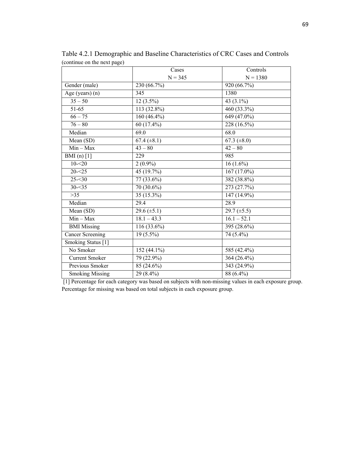|                         | Cases            | Controls         |
|-------------------------|------------------|------------------|
|                         | $N = 345$        | $N = 1380$       |
| Gender (male)           | 230 (66.7%)      | 920 (66.7%)      |
| Age (years) (n)         | 345              | 1380             |
| $35 - 50$               | $12(3.5\%)$      | 43 $(3.1\%)$     |
| 51-65                   | 113 (32.8%)      | 460 (33.3%)      |
| $66 - 75$               | 160 $(46.4\%)$   | 649 (47.0%)      |
| $76 - 80$               | 60 (17.4%)       | 228 (16.5%)      |
| Median                  | 69.0             | 68.0             |
| Mean (SD)               | $67.4 (\pm 8.1)$ | 67.3 $(\pm 8.0)$ |
| $Min - Max$             | $43 - 80$        | $42 - 80$        |
| BMI $(n)$ [1]           | 229              | 985              |
| $10 - 20$               | $2(0.9\%)$       | $16(1.6\%)$      |
| $20 - 25$               | 45 (19.7%)       | $167(17.0\%)$    |
| $25 - 30$               | 77 (33.6%)       | 382 (38.8%)      |
| $30 - 35$               | $70(30.6\%)$     | 273 (27.7%)      |
| $>35$                   | $35(15.3\%)$     | 147 (14.9%)      |
| Median                  | 29.4             | 28.9             |
| Mean (SD)               | 29.6 $(\pm 5.1)$ | 29.7 $(\pm 5.5)$ |
| $Min - Max$             | $18.1 - 43.3$    | $16.1 - 52.1$    |
| <b>BMI</b> Missing      | 116 (33.6%)      | 395 (28.6%)      |
| <b>Cancer Screening</b> | $19(5.5\%)$      | 74 (5.4%)        |
| Smoking Status [1]      |                  |                  |
| No Smoker               | 152 (44.1%)      | 585 (42.4%)      |
| <b>Current Smoker</b>   | 79 (22.9%)       | 364 $(26.4\%)$   |
| Previous Smoker         | 85 (24.6%)       | 343 (24.9%)      |
| <b>Smoking Missing</b>  | 29 (8.4%)        | 88 (6.4%)        |

Table 4.2.1 Demographic and Baseline Characteristics of CRC Cases and Controls (continue on the next page)

 [1] Percentage for each category was based on subjects with non-missing values in each exposure group. Percentage for missing was based on total subjects in each exposure group.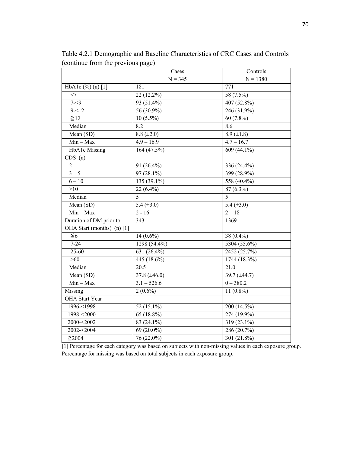|                               | Cases               | Controls          |
|-------------------------------|---------------------|-------------------|
|                               | $N = 345$           | $N = 1380$        |
| HbA1c $(\frac{9}{6})$ (n) [1] | 181                 | 771               |
| $<$ 7                         | 22 (12.2%)          | 58 (7.5%)         |
| $7 - 9$                       | $93(51.4\%)$        | 407 (52.8%)       |
| $9 - 12$                      | $56(30.9\%)$        | $246(31.9\%)$     |
| $\geq 12$                     | $10(5.5\%)$         | $60(7.8\%)$       |
| Median                        | 8.2                 | 8.6               |
| Mean (SD)                     | $8.8 (\pm 2.0)$     | $8.9 \ (\pm 1.8)$ |
| $Min - Max$                   | $4.9 - 16.9$        | $4.7 - 16.7$      |
| <b>HbA1c</b> Missing          | 164 (47.5%)         | 609 (44.1%)       |
| CDS(n)                        |                     |                   |
| $\overline{2}$                | 91 (26.4%)          | 336 (24.4%)       |
| $3 - 5$                       | $97(28.1\%)$        | 399 (28.9%)       |
| $6 - 10$                      | 135 (39.1%)         | 558 (40.4%)       |
| >10                           | $22(6.4\%)$         | 87 (6.3%)         |
| Median                        | 5                   | 5                 |
| Mean (SD)                     | 5.4 $(\pm 3.0)$     | 5.4 $(\pm 3.0)$   |
| $Min - Max$                   | $2 - 16$            | $2 - 18$          |
| Duration of DM prior to       | 343                 | 1369              |
| OHA Start (months) (n) [1]    |                     |                   |
| $\leq 6$                      | $14(0.6\%)$         | 38 (0.4%)         |
| $7 - 24$                      | 1298 (54.4%)        | 5304 (55.6%)      |
| $25 - 60$                     | 631 (26.4%)         | 2452 (25.7%)      |
| $>60$                         | 445 (18.6%)         | 1744 (18.3%)      |
| Median                        | $\overline{20.5}$   | $\overline{21.0}$ |
| Mean (SD)                     | 37.8 ( $\pm 46.0$ ) | 39.7 (±44.7)      |
| $Min - Max$                   | $3.1 - 526.6$       | $0 - 380.2$       |
| Missing                       | $2(0.6\%)$          | 11 $(0.8\%)$      |
| <b>OHA</b> Start Year         |                     |                   |
| 1996-<1998                    | 52 (15.1%)          | 200 (14.5%)       |
| 1998-<2000                    | 65 (18.8%)          | 274 (19.9%)       |
| 2000-<2002                    | 83 (24.1%)          | 319 (23.1%)       |
| 2002-<2004                    | 69 (20.0%)          | 286 (20.7%)       |
| $\geq$ 2004                   | $76(22.0\%)$        | 301 (21.8%)       |

Table 4.2.1 Demographic and Baseline Characteristics of CRC Cases and Controls (continue from the previous page)

[1] Percentage for each category was based on subjects with non-missing values in each exposure group. Percentage for missing was based on total subjects in each exposure group.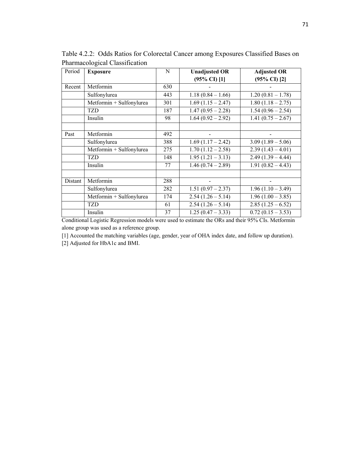| Period  | <b>Exposure</b>          | N   | <b>Unadjusted OR</b>    | <b>Adjusted OR</b>      |
|---------|--------------------------|-----|-------------------------|-------------------------|
|         |                          |     | $(95\% \text{ CI})$ [1] | $(95\% \text{ CI})$ [2] |
| Recent  | Metformin                | 630 |                         |                         |
|         | Sulfonylurea             | 443 | $1.18(0.84 - 1.66)$     | $1.20(0.81 - 1.78)$     |
|         | Metformin + Sulfonylurea | 301 | $1.69(1.15 - 2.47)$     | $1.80(1.18 - 2.75)$     |
|         | TZD                      | 187 | $1.47(0.95 - 2.28)$     | $1.54(0.96 - 2.54)$     |
|         | Insulin                  | 98  | $1.64(0.92 - 2.92)$     | $1.41(0.75 - 2.67)$     |
|         |                          |     |                         |                         |
| Past    | Metformin                | 492 |                         |                         |
|         | Sulfonylurea             | 388 | $1.69(1.17 - 2.42)$     | $3.09(1.89 - 5.06)$     |
|         | Metformin + Sulfonylurea | 275 | $1.70(1.12 - 2.58)$     | $2.39(1.43 - 4.01)$     |
|         | TZD                      | 148 | $1.95(1.21 - 3.13)$     | $2.49(1.39 - 4.44)$     |
|         | Insulin                  | 77  | $1.46(0.74 - 2.89)$     | $1.91(0.82 - 4.43)$     |
|         |                          |     |                         |                         |
| Distant | Metformin                | 288 |                         |                         |
|         | Sulfonylurea             | 282 | $1.51(0.97 - 2.37)$     | $1.96(1.10 - 3.49)$     |
|         | Metformin + Sulfonylurea | 174 | $2.54(1.26 - 5.14)$     | $1.96(1.00 - 3.85)$     |
|         | TZD                      | 61  | $2.54(1.26 - 5.14)$     | $2.85(1.25-6.52)$       |
|         | Insulin                  | 37  | $1.25(0.47 - 3.33)$     | $0.72(0.15-3.53)$       |

Table 4.2.2: Odds Ratios for Colorectal Cancer among Exposures Classified Bases on Pharmacological Classification

Conditional Logistic Regression models were used to estimate the ORs and their 95% CIs. Metformin alone group was used as a reference group.

[1] Accounted the matching variables (age, gender, year of OHA index date, and follow up duration).

[2] Adjusted for HbA1c and BMI.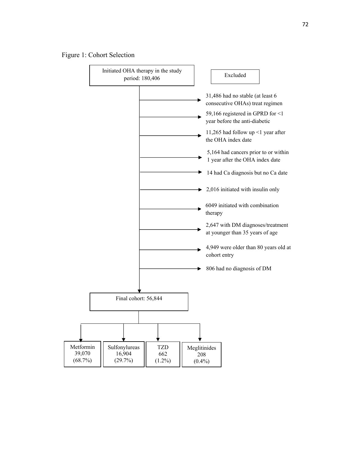## Figure 1: Cohort Selection

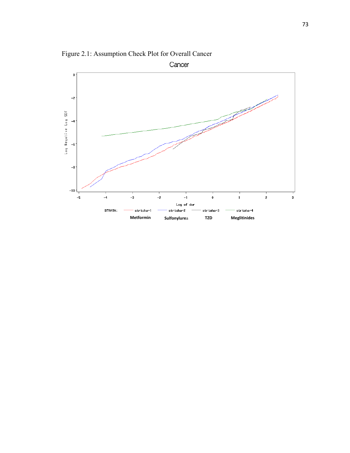

Figure 2.1: Assumption Check Plot for Overall Cancer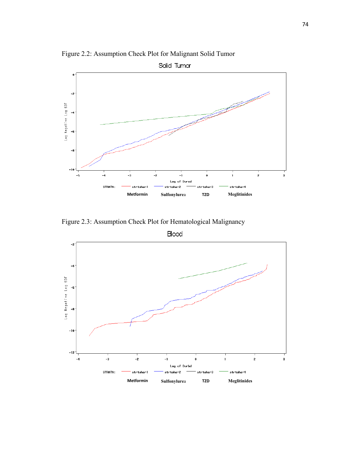

Figure 2.2: Assumption Check Plot for Malignant Solid Tumor

Figure 2.3: Assumption Check Plot for Hematological Malignancy



**Blood**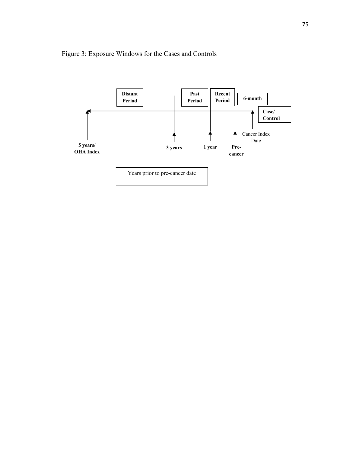## Figure 3: Exposure Windows for the Cases and Controls

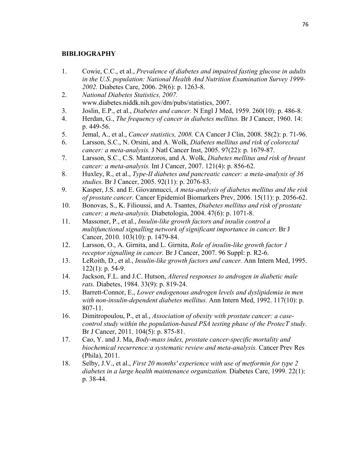## **BIBLIOGRAPHY**

- 1. Cowie, C.C., et al., *Prevalence of diabetes and impaired fasting glucose in adults in the U.S. population: National Health And Nutrition Examination Survey 1999- 2002.* Diabetes Care, 2006. 29(6): p. 1263-8.
- 2. *National Diabetes Statistics, 2007.* www.diabetes.niddk.nih.gov/dm/pubs/statistics, 2007.
- 3. Joslin, E.P., et al., *Diabetes and cancer.* N Engl J Med, 1959. 260(10): p. 486-8.
- 4. Herdan, G., *The frequency of cancer in diabetes mellitus.* Br J Cancer, 1960. 14: p. 449-56.
- 5. Jemal, A., et al., *Cancer statistics, 2008.* CA Cancer J Clin, 2008. 58(2): p. 71-96.
- 6. Larsson, S.C., N. Orsini, and A. Wolk, *Diabetes mellitus and risk of colorectal cancer: a meta-analysis.* J Natl Cancer Inst, 2005. 97(22): p. 1679-87.
- 7. Larsson, S.C., C.S. Mantzoros, and A. Wolk, *Diabetes mellitus and risk of breast cancer: a meta-analysis.* Int J Cancer, 2007. 121(4): p. 856-62.
- 8. Huxley, R., et al., *Type-II diabetes and pancreatic cancer: a meta-analysis of 36 studies.* Br J Cancer, 2005. 92(11): p. 2076-83.
- 9. Kasper, J.S. and E. Giovannucci, *A meta-analysis of diabetes mellitus and the risk of prostate cancer.* Cancer Epidemiol Biomarkers Prev, 2006. 15(11): p. 2056-62.
- 10. Bonovas, S., K. Filioussi, and A. Tsantes, *Diabetes mellitus and risk of prostate cancer: a meta-analysis.* Diabetologia, 2004. 47(6): p. 1071-8.
- 11. Massoner, P., et al., *Insulin-like growth factors and insulin control a multifunctional signalling network of significant importance in cancer.* Br J Cancer, 2010. 103(10): p. 1479-84.
- 12. Larsson, O., A. Girnita, and L. Girnita, *Role of insulin-like growth factor 1 receptor signalling in cancer.* Br J Cancer, 2007. 96 Suppl: p. R2-6.
- 13. LeRoith, D., et al., *Insulin-like growth factors and cancer.* Ann Intern Med, 1995. 122(1): p. 54-9.
- 14. Jackson, F.L. and J.C. Hutson, *Altered responses to androgen in diabetic male rats.* Diabetes, 1984. 33(9): p. 819-24.
- 15. Barrett-Connor, E., *Lower endogenous androgen levels and dyslipidemia in men with non-insulin-dependent diabetes mellitus.* Ann Intern Med, 1992. 117(10): p. 807-11.
- 16. Dimitropoulou, P., et al., *Association of obesity with prostate cancer: a casecontrol study within the population-based PSA testing phase of the ProtecT study.* Br J Cancer, 2011. 104(5): p. 875-81.
- 17. Cao, Y. and J. Ma, *Body-mass index, prostate cancer-specific mortality and biochemical recurrence:a systematic review and meta-analysis.* Cancer Prev Res (Phila), 2011.
- 18. Selby, J.V., et al., *First 20 months' experience with use of metformin for type 2 diabetes in a large health maintenance organization.* Diabetes Care, 1999. 22(1): p. 38-44.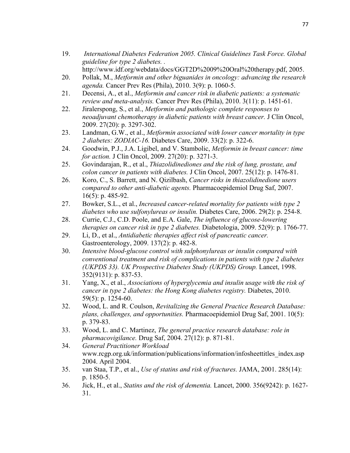- 19. *International Diabetes Federation 2005. Clinical Guidelines Task Force. Global guideline for type 2 diabetes. .* http://www.idf.org/webdata/docs/GGT2D%2009%20Oral%20therapy.pdf, 2005.
- 20. Pollak, M., *Metformin and other biguanides in oncology: advancing the research agenda.* Cancer Prev Res (Phila), 2010. 3(9): p. 1060-5.
- 21. Decensi, A., et al., *Metformin and cancer risk in diabetic patients: a systematic review and meta-analysis.* Cancer Prev Res (Phila), 2010. 3(11): p. 1451-61.
- 22. Jiralerspong, S., et al., *Metformin and pathologic complete responses to neoadjuvant chemotherapy in diabetic patients with breast cancer.* J Clin Oncol, 2009. 27(20): p. 3297-302.
- 23. Landman, G.W., et al., *Metformin associated with lower cancer mortality in type 2 diabetes: ZODIAC-16.* Diabetes Care, 2009. 33(2): p. 322-6.
- 24. Goodwin, P.J., J.A. Ligibel, and V. Stambolic, *Metformin in breast cancer: time for action.* J Clin Oncol, 2009. 27(20): p. 3271-3.
- 25. Govindarajan, R., et al., *Thiazolidinediones and the risk of lung, prostate, and colon cancer in patients with diabetes.* J Clin Oncol, 2007. 25(12): p. 1476-81.
- 26. Koro, C., S. Barrett, and N. Qizilbash, *Cancer risks in thiazolidinedione users compared to other anti-diabetic agents.* Pharmacoepidemiol Drug Saf, 2007. 16(5): p. 485-92.
- 27. Bowker, S.L., et al., *Increased cancer-related mortality for patients with type 2 diabetes who use sulfonylureas or insulin.* Diabetes Care, 2006. 29(2): p. 254-8.
- 28. Currie, C.J., C.D. Poole, and E.A. Gale, *The influence of glucose-lowering therapies on cancer risk in type 2 diabetes.* Diabetologia, 2009. 52(9): p. 1766-77.
- 29. Li, D., et al., *Antidiabetic therapies affect risk of pancreatic cancer.* Gastroenterology, 2009. 137(2): p. 482-8.
- 30. *Intensive blood-glucose control with sulphonylureas or insulin compared with conventional treatment and risk of complications in patients with type 2 diabetes (UKPDS 33). UK Prospective Diabetes Study (UKPDS) Group.* Lancet, 1998. 352(9131): p. 837-53.
- 31. Yang, X., et al., *Associations of hyperglycemia and insulin usage with the risk of cancer in type 2 diabetes: the Hong Kong diabetes registry.* Diabetes, 2010. 59(5): p. 1254-60.
- 32. Wood, L. and R. Coulson, *Revitalizing the General Practice Research Database: plans, challenges, and opportunities.* Pharmacoepidemiol Drug Saf, 2001. 10(5): p. 379-83.
- 33. Wood, L. and C. Martinez, *The general practice research database: role in pharmacovigilance.* Drug Saf, 2004. 27(12): p. 871-81.
- 34. *General Practitioner Workload*  www.rcgp.org.uk/information/publications/information/infosheettitles\_index.asp 2004. April 2004.
- 35. van Staa, T.P., et al., *Use of statins and risk of fractures.* JAMA, 2001. 285(14): p. 1850-5.
- 36. Jick, H., et al., *Statins and the risk of dementia.* Lancet, 2000. 356(9242): p. 1627- 31.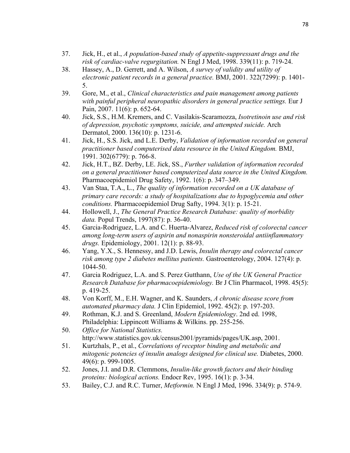- 37. Jick, H., et al., *A population-based study of appetite-suppressant drugs and the risk of cardiac-valve regurgitation.* N Engl J Med, 1998. 339(11): p. 719-24.
- 38. Hassey, A., D. Gerrett, and A. Wilson, *A survey of validity and utility of electronic patient records in a general practice.* BMJ, 2001. 322(7299): p. 1401- 5.
- 39. Gore, M., et al., *Clinical characteristics and pain management among patients with painful peripheral neuropathic disorders in general practice settings.* Eur J Pain, 2007. 11(6): p. 652-64.
- 40. Jick, S.S., H.M. Kremers, and C. Vasilakis-Scaramozza, *Isotretinoin use and risk of depression, psychotic symptoms, suicide, and attempted suicide.* Arch Dermatol, 2000. 136(10): p. 1231-6.
- 41. Jick, H., S.S. Jick, and L.E. Derby, *Validation of information recorded on general practitioner based computerised data resource in the United Kingdom.* BMJ, 1991. 302(6779): p. 766-8.
- 42. Jick, H.T., BZ. Derby, LE. Jick, SS., *Further validation of information recorded on a general practitioner based computerized data source in the United Kingdom.* Pharmacoepidemiol Drug Safety, 1992. 1(6): p. 347–349.
- 43. Van Staa, T.A., L., *The quality of information recorded on a UK database of primary care records: a study of hospitalizations due to hypoglycemia and other conditions.* Pharmacoepidemiol Drug Safty, 1994. 3(1): p. 15-21.
- 44. Hollowell, J., *The General Practice Research Database: quality of morbidity data.* Popul Trends, 1997(87): p. 36-40.
- 45. Garcia-Rodriguez, L.A. and C. Huerta-Alvarez, *Reduced risk of colorectal cancer among long-term users of aspirin and nonaspirin nonsteroidal antiinflammatory drugs.* Epidemiology, 2001. 12(1): p. 88-93.
- 46. Yang, Y.X., S. Hennessy, and J.D. Lewis, *Insulin therapy and colorectal cancer risk among type 2 diabetes mellitus patients.* Gastroenterology, 2004. 127(4): p. 1044-50.
- 47. Garcia Rodriguez, L.A. and S. Perez Gutthann, *Use of the UK General Practice Research Database for pharmacoepidemiology.* Br J Clin Pharmacol, 1998. 45(5): p. 419-25.
- 48. Von Korff, M., E.H. Wagner, and K. Saunders, *A chronic disease score from automated pharmacy data.* J Clin Epidemiol, 1992. 45(2): p. 197-203.
- 49. Rothman, K.J. and S. Greenland, *Modern Epidemiology*. 2nd ed. 1998, Philadelphia: Lippincott Williams & Wilkins. pp. 255-256.
- 50. *Office for National Statistics.* http://www.statistics.gov.uk/census2001/pyramids/pages/UK.asp, 2001.
- 51. Kurtzhals, P., et al., *Correlations of receptor binding and metabolic and mitogenic potencies of insulin analogs designed for clinical use.* Diabetes, 2000. 49(6): p. 999-1005.
- 52. Jones, J.I. and D.R. Clemmons, *Insulin-like growth factors and their binding proteins: biological actions.* Endocr Rev, 1995. 16(1): p. 3-34.
- 53. Bailey, C.J. and R.C. Turner, *Metformin.* N Engl J Med, 1996. 334(9): p. 574-9.